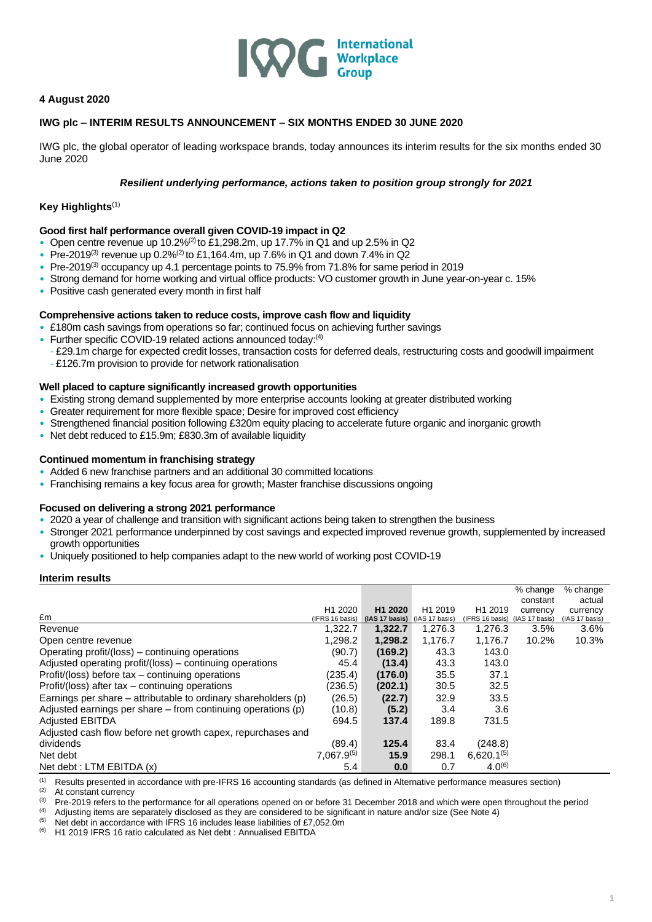

# **4 August 2020**

## **IWG plc – INTERIM RESULTS ANNOUNCEMENT – SIX MONTHS ENDED 30 JUNE 2020**

IWG plc, the global operator of leading workspace brands, today announces its interim results for the six months ended 30 June 2020

## *Resilient underlying performance, actions taken to position group strongly for 2021*

## **Key Highlights**(1)

## **Good first half performance overall given COVID-19 impact in Q2**

- Open centre revenue up 10.2%<sup>(2)</sup> to £1,298.2m, up 17.7% in Q1 and up 2.5% in Q2
- Pre-2019<sup>(3)</sup> revenue up  $0.2\%^{(2)}$  to £1,164.4m, up 7.6% in Q1 and down 7.4% in Q2
- Pre-2019<sup>(3)</sup> occupancy up 4.1 percentage points to 75.9% from 71.8% for same period in 2019
- Strong demand for home working and virtual office products: VO customer growth in June year-on-year c. 15%
- Positive cash generated every month in first half

## **Comprehensive actions taken to reduce costs, improve cash flow and liquidity**

- £180m cash savings from operations so far; continued focus on achieving further savings
- Further specific COVID-19 related actions announced today: $(4)$ 
	- £29.1m charge for expected credit losses, transaction costs for deferred deals, restructuring costs and goodwill impairment - £126.7m provision to provide for network rationalisation

## **Well placed to capture significantly increased growth opportunities**

- Existing strong demand supplemented by more enterprise accounts looking at greater distributed working
- Greater requirement for more flexible space; Desire for improved cost efficiency
- Strengthened financial position following £320m equity placing to accelerate future organic and inorganic growth
- Net debt reduced to £15.9m; £830.3m of available liquidity

## **Continued momentum in franchising strategy**

- Added 6 new franchise partners and an additional 30 committed locations
- Franchising remains a key focus area for growth; Master franchise discussions ongoing

## **Focused on delivering a strong 2021 performance**

- 2020 a year of challenge and transition with significant actions being taken to strengthen the business
- Stronger 2021 performance underpinned by cost savings and expected improved revenue growth, supplemented by increased growth opportunities
- Uniquely positioned to help companies adapt to the new world of working post COVID-19

## **Interim results**

|                                                                |                     |                |                     |                     | % change<br>constant | % change<br>actual |  |
|----------------------------------------------------------------|---------------------|----------------|---------------------|---------------------|----------------------|--------------------|--|
|                                                                | H <sub>1</sub> 2020 | H1 2020        | H <sub>1</sub> 2019 | H <sub>1</sub> 2019 | currency             | currency           |  |
| £m                                                             | (IFRS 16 basis)     | (IAS 17 basis) | AS 17 basis)        | (IFRS 16 basis)     | (IAS 17 basis)       | (IAS 17 basis)     |  |
| Revenue                                                        | 1,322.7             | 1,322.7        | 1,276.3             | 1,276.3             | 3.5%                 | 3.6%               |  |
| Open centre revenue                                            | 1,298.2             | 1,298.2        | 1,176.7             | 1,176.7             | 10.2%                | 10.3%              |  |
| Operating profit/(loss) – continuing operations                | (90.7)              | (169.2)        | 43.3                | 143.0               |                      |                    |  |
| Adjusted operating profit/(loss) – continuing operations       | 45.4                | (13.4)         | 43.3                | 143.0               |                      |                    |  |
| Profit/(loss) before tax – continuing operations               | (235.4)             | (176.0)        | 35.5                | 37.1                |                      |                    |  |
| Profit/(loss) after tax – continuing operations                | (236.5)             | (202.1)        | 30.5                | 32.5                |                      |                    |  |
| Earnings per share – attributable to ordinary shareholders (p) | (26.5)              | (22.7)         | 32.9                | 33.5                |                      |                    |  |
| Adjusted earnings per share $-$ from continuing operations (p) | (10.8)              | (5.2)          | 3.4                 | 3.6                 |                      |                    |  |
| <b>Adjusted EBITDA</b>                                         | 694.5               | 137.4          | 189.8               | 731.5               |                      |                    |  |
| Adjusted cash flow before net growth capex, repurchases and    |                     |                |                     |                     |                      |                    |  |
| dividends                                                      | (89.4)              | 125.4          | 83.4                | (248.8)             |                      |                    |  |
| Net debt                                                       | $7,067.9^{(5)}$     | 15.9           | 298.1               | $6,620.1^{(5)}$     |                      |                    |  |
| Net debt: LTM EBITDA (x)                                       | 5.4                 | 0.0            | 0.7                 | $4.0^{(6)}$         |                      |                    |  |

(1) Results presented in accordance with pre-IFRS 16 accounting standards (as defined in Alternative performance measures section)

 $(2)$  At constant currency

(3) Pre-2019 refers to the performance for all operations opened on or before 31 December 2018 and which were open throughout the period (4) Adjusting items are separately disclosed as they are considered to be significan

(4) Adjusting items are separately disclosed as they are considered to be significant in nature and/or size (See Note 4)  $\frac{(5)}{10}$  Net debt in accordance with JERS 16 includes lease liabilities of £7.052.0m

(5) Net debt in accordance with IFRS 16 includes lease liabilities of £7,052.0m<br>(6) H<sub>1</sub> 2019 IFRS 16 ratio calculated as Net debt : Annualised EBITDA H1 2019 IFRS 16 ratio calculated as Net debt : Annualised EBITDA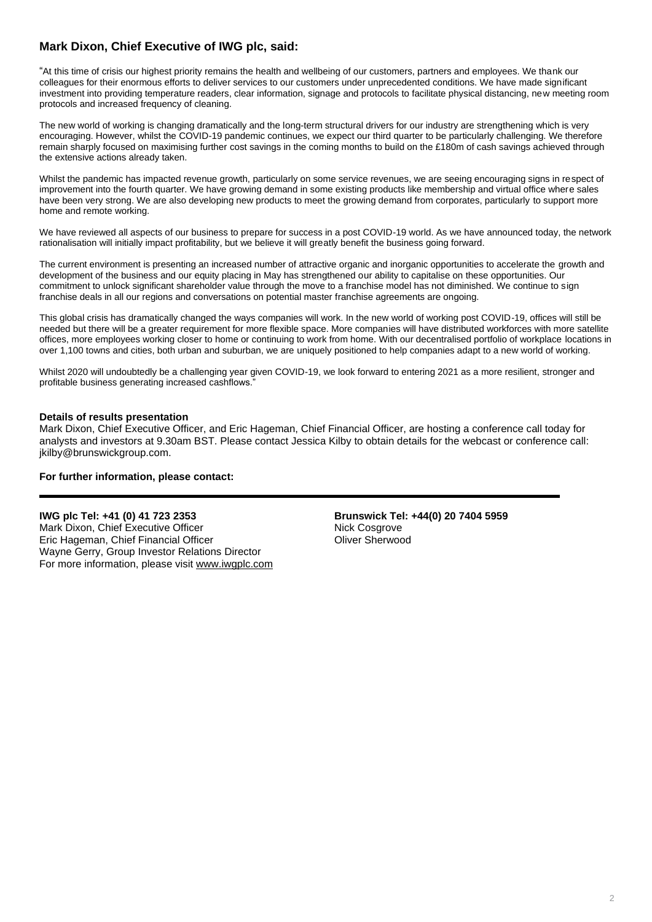# **Mark Dixon, Chief Executive of IWG plc, said:**

"At this time of crisis our highest priority remains the health and wellbeing of our customers, partners and employees. We thank our colleagues for their enormous efforts to deliver services to our customers under unprecedented conditions. We have made significant investment into providing temperature readers, clear information, signage and protocols to facilitate physical distancing, new meeting room protocols and increased frequency of cleaning.

The new world of working is changing dramatically and the long-term structural drivers for our industry are strengthening which is very encouraging. However, whilst the COVID-19 pandemic continues, we expect our third quarter to be particularly challenging. We therefore remain sharply focused on maximising further cost savings in the coming months to build on the £180m of cash savings achieved through the extensive actions already taken.

Whilst the pandemic has impacted revenue growth, particularly on some service revenues, we are seeing encouraging signs in respect of improvement into the fourth quarter. We have growing demand in some existing products like membership and virtual office where sales have been very strong. We are also developing new products to meet the growing demand from corporates, particularly to support more home and remote working.

We have reviewed all aspects of our business to prepare for success in a post COVID-19 world. As we have announced today, the network rationalisation will initially impact profitability, but we believe it will greatly benefit the business going forward.

The current environment is presenting an increased number of attractive organic and inorganic opportunities to accelerate the growth and development of the business and our equity placing in May has strengthened our ability to capitalise on these opportunities. Our commitment to unlock significant shareholder value through the move to a franchise model has not diminished. We continue to sign franchise deals in all our regions and conversations on potential master franchise agreements are ongoing.

This global crisis has dramatically changed the ways companies will work. In the new world of working post COVID-19, offices will still be needed but there will be a greater requirement for more flexible space. More companies will have distributed workforces with more satellite offices, more employees working closer to home or continuing to work from home. With our decentralised portfolio of workplace locations in over 1,100 towns and cities, both urban and suburban, we are uniquely positioned to help companies adapt to a new world of working.

Whilst 2020 will undoubtedly be a challenging year given COVID-19, we look forward to entering 2021 as a more resilient, stronger and profitable business generating increased cashflows."

## **Details of results presentation**

Mark Dixon, Chief Executive Officer, and Eric Hageman, Chief Financial Officer, are hosting a conference call today for analysts and investors at 9.30am BST. Please contact Jessica Kilby to obtain details for the webcast or conference call: jkilby@brunswickgroup.com.

# **For further information, please contact:**

## **IWG plc Tel: +41 (0) 41 723 2353**

Mark Dixon, Chief Executive Officer Eric Hageman, Chief Financial Officer Wayne Gerry, Group Investor Relations Director For more information, please visit [www.iwgplc.com](http://www.iwgplc.com/) **Brunswick Tel: +44(0) 20 7404 5959 Nick Cosgrove** Oliver Sherwood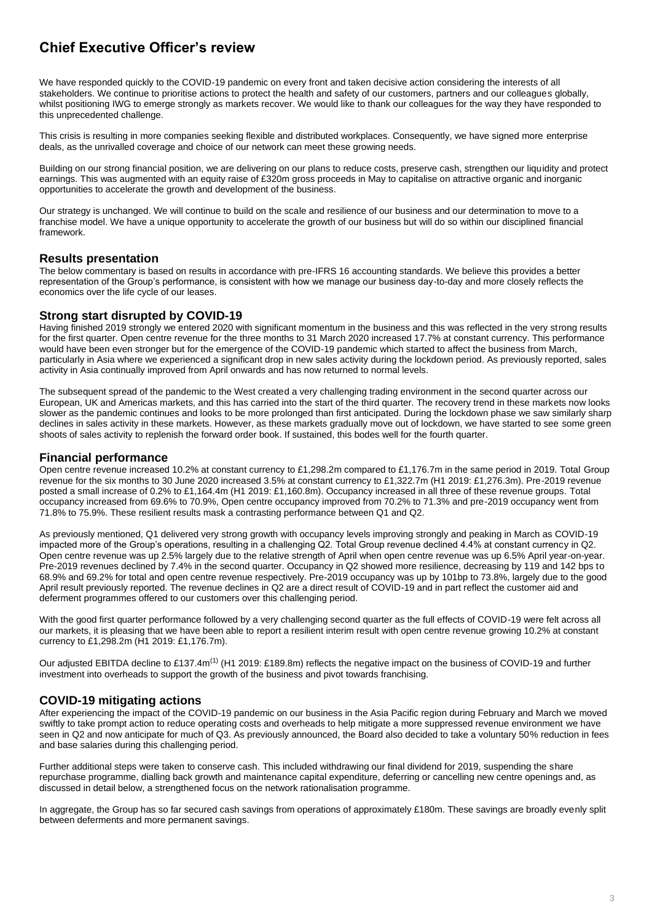# **Chief Executive Officer's review**

We have responded quickly to the COVID-19 pandemic on every front and taken decisive action considering the interests of all stakeholders. We continue to prioritise actions to protect the health and safety of our customers, partners and our colleagues globally, whilst positioning IWG to emerge strongly as markets recover. We would like to thank our colleagues for the way they have responded to this unprecedented challenge.

This crisis is resulting in more companies seeking flexible and distributed workplaces. Consequently, we have signed more enterprise deals, as the unrivalled coverage and choice of our network can meet these growing needs.

Building on our strong financial position, we are delivering on our plans to reduce costs, preserve cash, strengthen our liquidity and protect earnings. This was augmented with an equity raise of £320m gross proceeds in May to capitalise on attractive organic and inorganic opportunities to accelerate the growth and development of the business.

Our strategy is unchanged. We will continue to build on the scale and resilience of our business and our determination to move to a franchise model. We have a unique opportunity to accelerate the growth of our business but will do so within our disciplined financial framework.

# **Results presentation**

The below commentary is based on results in accordance with pre-IFRS 16 accounting standards. We believe this provides a better representation of the Group's performance, is consistent with how we manage our business day-to-day and more closely reflects the economics over the life cycle of our leases.

# **Strong start disrupted by COVID-19**

Having finished 2019 strongly we entered 2020 with significant momentum in the business and this was reflected in the very strong results for the first quarter. Open centre revenue for the three months to 31 March 2020 increased 17.7% at constant currency. This performance would have been even stronger but for the emergence of the COVID-19 pandemic which started to affect the business from March, particularly in Asia where we experienced a significant drop in new sales activity during the lockdown period. As previously reported, sales activity in Asia continually improved from April onwards and has now returned to normal levels.

The subsequent spread of the pandemic to the West created a very challenging trading environment in the second quarter across our European, UK and Americas markets, and this has carried into the start of the third quarter. The recovery trend in these markets now looks slower as the pandemic continues and looks to be more prolonged than first anticipated. During the lockdown phase we saw similarly sharp declines in sales activity in these markets. However, as these markets gradually move out of lockdown, we have started to see some green shoots of sales activity to replenish the forward order book. If sustained, this bodes well for the fourth quarter.

# **Financial performance**

Open centre revenue increased 10.2% at constant currency to £1,298.2m compared to £1,176.7m in the same period in 2019. Total Group revenue for the six months to 30 June 2020 increased 3.5% at constant currency to £1,322.7m (H1 2019: £1,276.3m). Pre-2019 revenue posted a small increase of 0.2% to £1,164.4m (H1 2019: £1,160.8m). Occupancy increased in all three of these revenue groups. Total occupancy increased from 69.6% to 70.9%, Open centre occupancy improved from 70.2% to 71.3% and pre-2019 occupancy went from 71.8% to 75.9%. These resilient results mask a contrasting performance between Q1 and Q2.

As previously mentioned, Q1 delivered very strong growth with occupancy levels improving strongly and peaking in March as COVID-19 impacted more of the Group's operations, resulting in a challenging Q2. Total Group revenue declined 4.4% at constant currency in Q2. Open centre revenue was up 2.5% largely due to the relative strength of April when open centre revenue was up 6.5% April year-on-year. Pre-2019 revenues declined by 7.4% in the second quarter. Occupancy in Q2 showed more resilience, decreasing by 119 and 142 bps to 68.9% and 69.2% for total and open centre revenue respectively. Pre-2019 occupancy was up by 101bp to 73.8%, largely due to the good April result previously reported. The revenue declines in Q2 are a direct result of COVID-19 and in part reflect the customer aid and deferment programmes offered to our customers over this challenging period.

With the good first quarter performance followed by a very challenging second quarter as the full effects of COVID-19 were felt across all our markets, it is pleasing that we have been able to report a resilient interim result with open centre revenue growing 10.2% at constant currency to £1,298.2m (H1 2019: £1,176.7m).

Our adjusted EBITDA decline to £137.4m<sup>(1)</sup> (H1 2019: £189.8m) reflects the negative impact on the business of COVID-19 and further investment into overheads to support the growth of the business and pivot towards franchising.

# **COVID-19 mitigating actions**

After experiencing the impact of the COVID-19 pandemic on our business in the Asia Pacific region during February and March we moved swiftly to take prompt action to reduce operating costs and overheads to help mitigate a more suppressed revenue environment we have seen in Q2 and now anticipate for much of Q3. As previously announced, the Board also decided to take a voluntary 50% reduction in fees and base salaries during this challenging period.

Further additional steps were taken to conserve cash. This included withdrawing our final dividend for 2019, suspending the share repurchase programme, dialling back growth and maintenance capital expenditure, deferring or cancelling new centre openings and, as discussed in detail below, a strengthened focus on the network rationalisation programme.

In aggregate, the Group has so far secured cash savings from operations of approximately £180m. These savings are broadly evenly split between deferments and more permanent savings.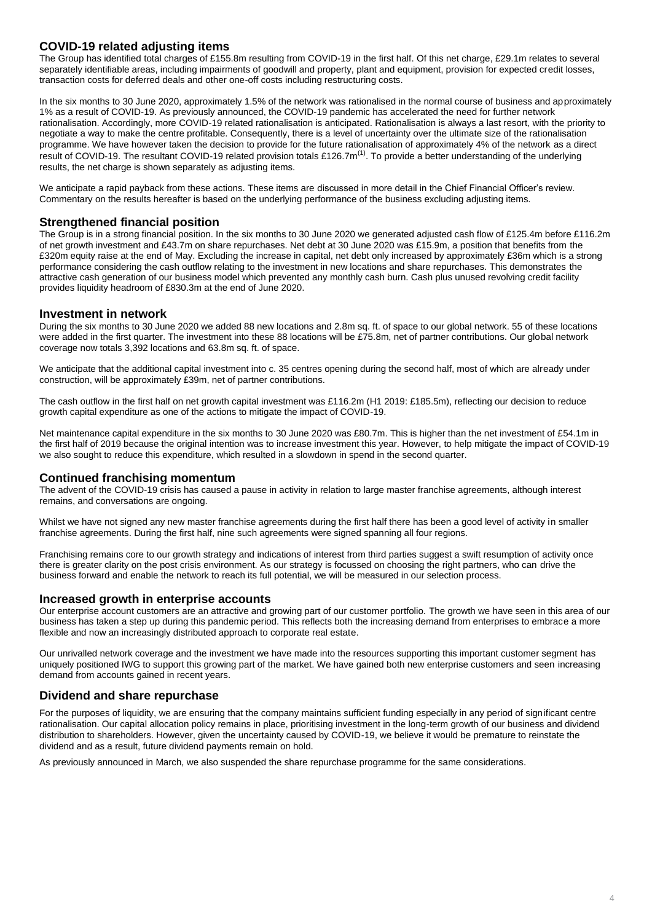# **COVID-19 related adjusting items**

The Group has identified total charges of £155.8m resulting from COVID-19 in the first half. Of this net charge, £29.1m relates to several separately identifiable areas, including impairments of goodwill and property, plant and equipment, provision for expected credit losses, transaction costs for deferred deals and other one-off costs including restructuring costs.

In the six months to 30 June 2020, approximately 1.5% of the network was rationalised in the normal course of business and approximately 1% as a result of COVID-19. As previously announced, the COVID-19 pandemic has accelerated the need for further network rationalisation. Accordingly, more COVID-19 related rationalisation is anticipated. Rationalisation is always a last resort, with the priority to negotiate a way to make the centre profitable. Consequently, there is a level of uncertainty over the ultimate size of the rationalisation programme. We have however taken the decision to provide for the future rationalisation of approximately 4% of the network as a direct result of COVID-19. The resultant COVID-19 related provision totals £126.7m<sup>(1)</sup>. To provide a better understanding of the underlying results, the net charge is shown separately as adjusting items.

We anticipate a rapid payback from these actions. These items are discussed in more detail in the Chief Financial Officer's review. Commentary on the results hereafter is based on the underlying performance of the business excluding adjusting items.

# **Strengthened financial position**

The Group is in a strong financial position. In the six months to 30 June 2020 we generated adjusted cash flow of £125.4m before £116.2m of net growth investment and £43.7m on share repurchases. Net debt at 30 June 2020 was £15.9m, a position that benefits from the £320m equity raise at the end of May. Excluding the increase in capital, net debt only increased by approximately £36m which is a strong performance considering the cash outflow relating to the investment in new locations and share repurchases. This demonstrates the attractive cash generation of our business model which prevented any monthly cash burn. Cash plus unused revolving credit facility provides liquidity headroom of £830.3m at the end of June 2020.

# **Investment in network**

During the six months to 30 June 2020 we added 88 new locations and 2.8m sq. ft. of space to our global network. 55 of these locations were added in the first quarter. The investment into these 88 locations will be £75.8m, net of partner contributions. Our global network coverage now totals 3,392 locations and 63.8m sq. ft. of space.

We anticipate that the additional capital investment into c. 35 centres opening during the second half, most of which are already under construction, will be approximately £39m, net of partner contributions.

The cash outflow in the first half on net growth capital investment was £116.2m (H1 2019: £185.5m), reflecting our decision to reduce growth capital expenditure as one of the actions to mitigate the impact of COVID-19.

Net maintenance capital expenditure in the six months to 30 June 2020 was £80.7m. This is higher than the net investment of £54.1m in the first half of 2019 because the original intention was to increase investment this year. However, to help mitigate the impact of COVID-19 we also sought to reduce this expenditure, which resulted in a slowdown in spend in the second quarter.

## **Continued franchising momentum**

The advent of the COVID-19 crisis has caused a pause in activity in relation to large master franchise agreements, although interest remains, and conversations are ongoing.

Whilst we have not signed any new master franchise agreements during the first half there has been a good level of activity in smaller franchise agreements. During the first half, nine such agreements were signed spanning all four regions.

Franchising remains core to our growth strategy and indications of interest from third parties suggest a swift resumption of activity once there is greater clarity on the post crisis environment. As our strategy is focussed on choosing the right partners, who can drive the business forward and enable the network to reach its full potential, we will be measured in our selection process.

## **Increased growth in enterprise accounts**

Our enterprise account customers are an attractive and growing part of our customer portfolio. The growth we have seen in this area of our business has taken a step up during this pandemic period. This reflects both the increasing demand from enterprises to embrace a more flexible and now an increasingly distributed approach to corporate real estate.

Our unrivalled network coverage and the investment we have made into the resources supporting this important customer segment has uniquely positioned IWG to support this growing part of the market. We have gained both new enterprise customers and seen increasing demand from accounts gained in recent years.

# **Dividend and share repurchase**

For the purposes of liquidity, we are ensuring that the company maintains sufficient funding especially in any period of significant centre rationalisation. Our capital allocation policy remains in place, prioritising investment in the long-term growth of our business and dividend distribution to shareholders. However, given the uncertainty caused by COVID-19, we believe it would be premature to reinstate the dividend and as a result, future dividend payments remain on hold.

As previously announced in March, we also suspended the share repurchase programme for the same considerations.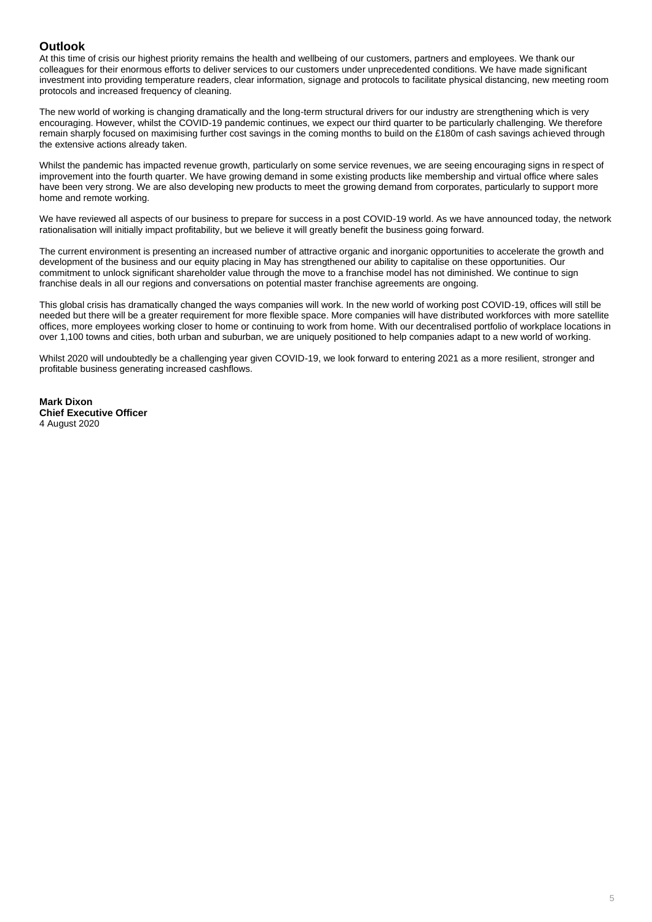# **Outlook**

At this time of crisis our highest priority remains the health and wellbeing of our customers, partners and employees. We thank our colleagues for their enormous efforts to deliver services to our customers under unprecedented conditions. We have made significant investment into providing temperature readers, clear information, signage and protocols to facilitate physical distancing, new meeting room protocols and increased frequency of cleaning.

The new world of working is changing dramatically and the long-term structural drivers for our industry are strengthening which is very encouraging. However, whilst the COVID-19 pandemic continues, we expect our third quarter to be particularly challenging. We therefore remain sharply focused on maximising further cost savings in the coming months to build on the £180m of cash savings achieved through the extensive actions already taken.

Whilst the pandemic has impacted revenue growth, particularly on some service revenues, we are seeing encouraging signs in respect of improvement into the fourth quarter. We have growing demand in some existing products like membership and virtual office where sales have been very strong. We are also developing new products to meet the growing demand from corporates, particularly to support more home and remote working.

We have reviewed all aspects of our business to prepare for success in a post COVID-19 world. As we have announced today, the network rationalisation will initially impact profitability, but we believe it will greatly benefit the business going forward.

The current environment is presenting an increased number of attractive organic and inorganic opportunities to accelerate the growth and development of the business and our equity placing in May has strengthened our ability to capitalise on these opportunities. Our commitment to unlock significant shareholder value through the move to a franchise model has not diminished. We continue to sign franchise deals in all our regions and conversations on potential master franchise agreements are ongoing.

This global crisis has dramatically changed the ways companies will work. In the new world of working post COVID-19, offices will still be needed but there will be a greater requirement for more flexible space. More companies will have distributed workforces with more satellite offices, more employees working closer to home or continuing to work from home. With our decentralised portfolio of workplace locations in over 1,100 towns and cities, both urban and suburban, we are uniquely positioned to help companies adapt to a new world of working.

Whilst 2020 will undoubtedly be a challenging year given COVID-19, we look forward to entering 2021 as a more resilient, stronger and profitable business generating increased cashflows.

**Mark Dixon Chief Executive Officer** 4 August 2020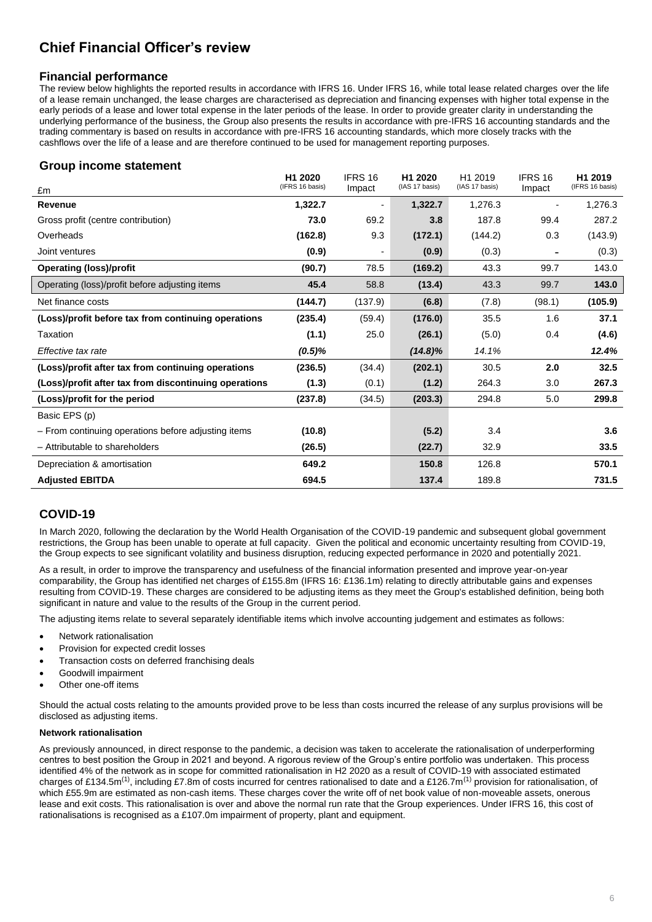# **Chief Financial Officer's review**

# **Financial performance**

The review below highlights the reported results in accordance with IFRS 16. Under IFRS 16, while total lease related charges over the life of a lease remain unchanged, the lease charges are characterised as depreciation and financing expenses with higher total expense in the early periods of a lease and lower total expense in the later periods of the lease. In order to provide greater clarity in understanding the underlying performance of the business, the Group also presents the results in accordance with pre-IFRS 16 accounting standards and the trading commentary is based on results in accordance with pre-IFRS 16 accounting standards, which more closely tracks with the cashflows over the life of a lease and are therefore continued to be used for management reporting purposes.

# **Group income statement**

| £m                                                    | H <sub>1</sub> 2020<br>(IFRS 16 basis) | IFRS 16<br>Impact        | H1 2020<br>(IAS 17 basis) | H1 2019<br>(IAS 17 basis) | IFRS 16<br>Impact            | H1 2019<br>(IFRS 16 basis) |
|-------------------------------------------------------|----------------------------------------|--------------------------|---------------------------|---------------------------|------------------------------|----------------------------|
| Revenue                                               | 1,322.7                                | $\overline{\phantom{a}}$ | 1,322.7                   | 1,276.3                   | $\blacksquare$               | 1,276.3                    |
| Gross profit (centre contribution)                    | 73.0                                   | 69.2                     | 3.8                       | 187.8                     | 99.4                         | 287.2                      |
| Overheads                                             | (162.8)                                | 9.3                      | (172.1)                   | (144.2)                   | 0.3                          | (143.9)                    |
| Joint ventures                                        | (0.9)                                  | $\overline{\phantom{a}}$ | (0.9)                     | (0.3)                     | $\qquad \qquad \blacksquare$ | (0.3)                      |
| <b>Operating (loss)/profit</b>                        | (90.7)                                 | 78.5                     | (169.2)                   | 43.3                      | 99.7                         | 143.0                      |
| Operating (loss)/profit before adjusting items        | 45.4                                   | 58.8                     | (13.4)                    | 43.3                      | 99.7                         | 143.0                      |
| Net finance costs                                     | (144.7)                                | (137.9)                  | (6.8)                     | (7.8)                     | (98.1)                       | (105.9)                    |
| (Loss)/profit before tax from continuing operations   | (235.4)                                | (59.4)                   | (176.0)                   | 35.5                      | 1.6                          | 37.1                       |
| Taxation                                              | (1.1)                                  | 25.0                     | (26.1)                    | (5.0)                     | 0.4                          | (4.6)                      |
| Effective tax rate                                    | $(0.5)\%$                              |                          | $(14.8)\%$                | 14.1%                     |                              | 12.4%                      |
| (Loss)/profit after tax from continuing operations    | (236.5)                                | (34.4)                   | (202.1)                   | 30.5                      | 2.0                          | 32.5                       |
| (Loss)/profit after tax from discontinuing operations | (1.3)                                  | (0.1)                    | (1.2)                     | 264.3                     | 3.0                          | 267.3                      |
| (Loss)/profit for the period                          | (237.8)                                | (34.5)                   | (203.3)                   | 294.8                     | 5.0                          | 299.8                      |
| Basic EPS (p)                                         |                                        |                          |                           |                           |                              |                            |
| - From continuing operations before adjusting items   | (10.8)                                 |                          | (5.2)                     | 3.4                       |                              | 3.6                        |
| - Attributable to shareholders                        | (26.5)                                 |                          | (22.7)                    | 32.9                      |                              | 33.5                       |
| Depreciation & amortisation                           | 649.2                                  |                          | 150.8                     | 126.8                     |                              | 570.1                      |
| <b>Adjusted EBITDA</b>                                | 694.5                                  |                          | 137.4                     | 189.8                     |                              | 731.5                      |

# **COVID-19**

In March 2020, following the declaration by the World Health Organisation of the COVID-19 pandemic and subsequent global government restrictions, the Group has been unable to operate at full capacity. Given the political and economic uncertainty resulting from COVID-19, the Group expects to see significant volatility and business disruption, reducing expected performance in 2020 and potentially 2021.

As a result, in order to improve the transparency and usefulness of the financial information presented and improve year-on-year comparability, the Group has identified net charges of £155.8m (IFRS 16: £136.1m) relating to directly attributable gains and expenses resulting from COVID-19. These charges are considered to be adjusting items as they meet the Group's established definition, being both significant in nature and value to the results of the Group in the current period.

The adjusting items relate to several separately identifiable items which involve accounting judgement and estimates as follows:

- Network rationalisation
- Provision for expected credit losses
- Transaction costs on deferred franchising deals
- Goodwill impairment
- Other one-off items

Should the actual costs relating to the amounts provided prove to be less than costs incurred the release of any surplus provisions will be disclosed as adiusting items.

## **Network rationalisation**

As previously announced, in direct response to the pandemic, a decision was taken to accelerate the rationalisation of underperforming centres to best position the Group in 2021 and beyond. A rigorous review of the Group's entire portfolio was undertaken. This process identified 4% of the network as in scope for committed rationalisation in H2 2020 as a result of COVID-19 with associated estimated charges of £134.5m<sup>(1)</sup>, including £7.8m of costs incurred for centres rationalised to date and a £126.7m<sup>(1)</sup> provision for rationalisation, of which £55.9m are estimated as non-cash items. These charges cover the write off of net book value of non-moveable assets, onerous lease and exit costs. This rationalisation is over and above the normal run rate that the Group experiences. Under IFRS 16, this cost of rationalisations is recognised as a £107.0m impairment of property, plant and equipment.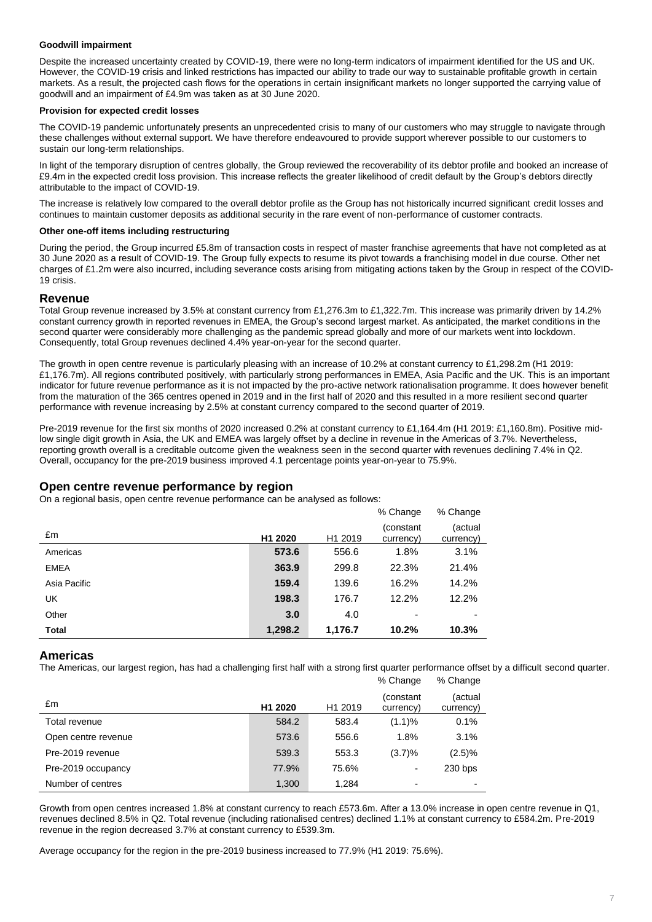## **Goodwill impairment**

Despite the increased uncertainty created by COVID-19, there were no long-term indicators of impairment identified for the US and UK. However, the COVID-19 crisis and linked restrictions has impacted our ability to trade our way to sustainable profitable growth in certain markets. As a result, the projected cash flows for the operations in certain insignificant markets no longer supported the carrying value of goodwill and an impairment of £4.9m was taken as at 30 June 2020.

## **Provision for expected credit losses**

The COVID-19 pandemic unfortunately presents an unprecedented crisis to many of our customers who may struggle to navigate through these challenges without external support. We have therefore endeavoured to provide support wherever possible to our customers to sustain our long-term relationships.

In light of the temporary disruption of centres globally, the Group reviewed the recoverability of its debtor profile and booked an increase of £9.4m in the expected credit loss provision. This increase reflects the greater likelihood of credit default by the Group's debtors directly attributable to the impact of COVID-19.

The increase is relatively low compared to the overall debtor profile as the Group has not historically incurred significant credit losses and continues to maintain customer deposits as additional security in the rare event of non-performance of customer contracts.

## **Other one-off items including restructuring**

During the period, the Group incurred £5.8m of transaction costs in respect of master franchise agreements that have not completed as at 30 June 2020 as a result of COVID-19. The Group fully expects to resume its pivot towards a franchising model in due course. Other net charges of £1.2m were also incurred, including severance costs arising from mitigating actions taken by the Group in respect of the COVID-19 crisis.

# **Revenue**

Total Group revenue increased by 3.5% at constant currency from £1,276.3m to £1,322.7m. This increase was primarily driven by 14.2% constant currency growth in reported revenues in EMEA, the Group's second largest market. As anticipated, the market conditions in the second quarter were considerably more challenging as the pandemic spread globally and more of our markets went into lockdown. Consequently, total Group revenues declined 4.4% year-on-year for the second quarter.

The growth in open centre revenue is particularly pleasing with an increase of 10.2% at constant currency to £1,298.2m (H1 2019: £1,176.7m). All regions contributed positively, with particularly strong performances in EMEA, Asia Pacific and the UK. This is an important indicator for future revenue performance as it is not impacted by the pro-active network rationalisation programme. It does however benefit from the maturation of the 365 centres opened in 2019 and in the first half of 2020 and this resulted in a more resilient second quarter performance with revenue increasing by 2.5% at constant currency compared to the second quarter of 2019.

Pre-2019 revenue for the first six months of 2020 increased 0.2% at constant currency to £1,164.4m (H1 2019: £1,160.8m). Positive midlow single digit growth in Asia, the UK and EMEA was largely offset by a decline in revenue in the Americas of 3.7%. Nevertheless, reporting growth overall is a creditable outcome given the weakness seen in the second quarter with revenues declining 7.4% in Q2. Overall, occupancy for the pre-2019 business improved 4.1 percentage points year-on-year to 75.9%.

# **Open centre revenue performance by region**

On a regional basis, open centre revenue performance can be analysed as follows:

|              |                     |                     | % Change               | % Change             |
|--------------|---------------------|---------------------|------------------------|----------------------|
| £m           | H <sub>1</sub> 2020 | H <sub>1</sub> 2019 | (constant<br>currency) | (actual<br>currency) |
| Americas     | 573.6               | 556.6               | 1.8%                   | 3.1%                 |
| <b>EMEA</b>  | 363.9               | 299.8               | 22.3%                  | 21.4%                |
| Asia Pacific | 159.4               | 139.6               | 16.2%                  | 14.2%                |
| UK           | 198.3               | 176.7               | 12.2%                  | 12.2%                |
| Other        | 3.0                 | 4.0                 |                        |                      |
| <b>Total</b> | 1,298.2             | 1,176.7             | 10.2%                  | 10.3%                |

## **Americas**

The Americas, our largest region, has had a challenging first half with a strong first quarter performance offset by a difficult second quarter.

|                     |                     |                     | % Change                | % Change                 |
|---------------------|---------------------|---------------------|-------------------------|--------------------------|
| £m                  | H <sub>1</sub> 2020 | H <sub>1</sub> 2019 | (constant)<br>currency) | (actual<br>currency)     |
| Total revenue       | 584.2               | 583.4               | (1.1)%                  | 0.1%                     |
| Open centre revenue | 573.6               | 556.6               | 1.8%                    | 3.1%                     |
| Pre-2019 revenue    | 539.3               | 553.3               | (3.7)%                  | $(2.5)\%$                |
| Pre-2019 occupancy  | 77.9%               | 75.6%               |                         | 230 bps                  |
| Number of centres   | 1,300               | 1.284               | ۰                       | $\overline{\phantom{a}}$ |

Growth from open centres increased 1.8% at constant currency to reach £573.6m. After a 13.0% increase in open centre revenue in Q1, revenues declined 8.5% in Q2. Total revenue (including rationalised centres) declined 1.1% at constant currency to £584.2m. Pre-2019 revenue in the region decreased 3.7% at constant currency to £539.3m.

Average occupancy for the region in the pre-2019 business increased to 77.9% (H1 2019: 75.6%).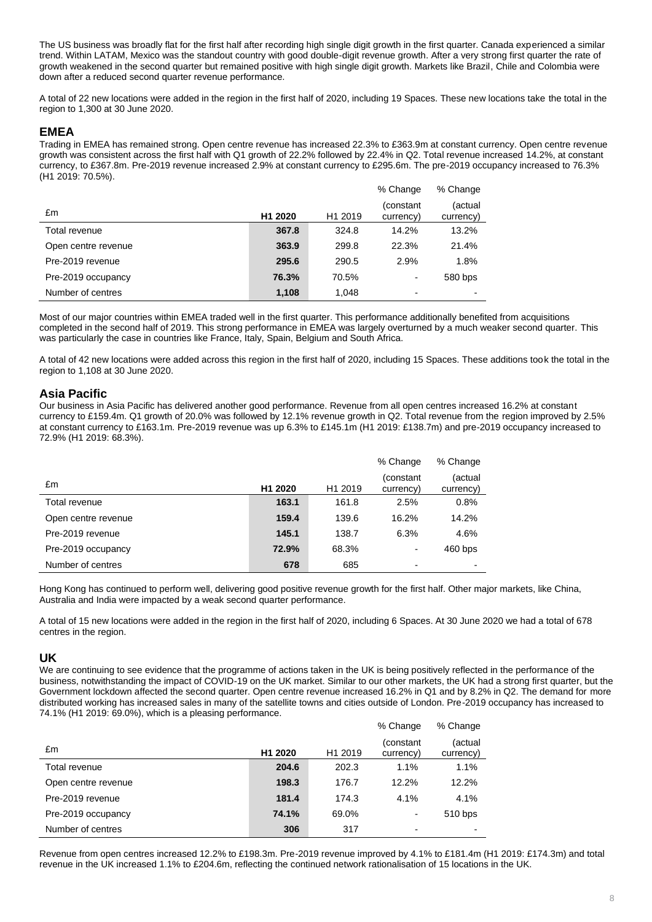The US business was broadly flat for the first half after recording high single digit growth in the first quarter. Canada experienced a similar trend. Within LATAM, Mexico was the standout country with good double-digit revenue growth. After a very strong first quarter the rate of growth weakened in the second quarter but remained positive with high single digit growth. Markets like Brazil, Chile and Colombia were down after a reduced second quarter revenue performance.

A total of 22 new locations were added in the region in the first half of 2020, including 19 Spaces. These new locations take the total in the region to 1,300 at 30 June 2020.

## **EMEA**

Trading in EMEA has remained strong. Open centre revenue has increased 22.3% to £363.9m at constant currency. Open centre revenue growth was consistent across the first half with Q1 growth of 22.2% followed by 22.4% in Q2. Total revenue increased 14.2%, at constant currency, to £367.8m. Pre-2019 revenue increased 2.9% at constant currency to £295.6m. The pre-2019 occupancy increased to 76.3% (H1 2019: 70.5%).

|                     |                     |                     | % Change               | % Change                 |
|---------------------|---------------------|---------------------|------------------------|--------------------------|
| £m                  | H <sub>1</sub> 2020 | H <sub>1</sub> 2019 | (constant<br>currency) | (actual<br>currency)     |
| Total revenue       | 367.8               | 324.8               | 14.2%                  | 13.2%                    |
| Open centre revenue | 363.9               | 299.8               | 22.3%                  | 21.4%                    |
| Pre-2019 revenue    | 295.6               | 290.5               | 2.9%                   | 1.8%                     |
| Pre-2019 occupancy  | 76.3%               | 70.5%               | $\blacksquare$         | 580 bps                  |
| Number of centres   | 1,108               | 1,048               | $\blacksquare$         | $\overline{\phantom{a}}$ |

Most of our major countries within EMEA traded well in the first quarter. This performance additionally benefited from acquisitions completed in the second half of 2019. This strong performance in EMEA was largely overturned by a much weaker second quarter. This was particularly the case in countries like France, Italy, Spain, Belgium and South Africa.

A total of 42 new locations were added across this region in the first half of 2020, including 15 Spaces. These additions took the total in the region to 1,108 at 30 June 2020.

# **Asia Pacific**

Our business in Asia Pacific has delivered another good performance. Revenue from all open centres increased 16.2% at constant currency to £159.4m. Q1 growth of 20.0% was followed by 12.1% revenue growth in Q2. Total revenue from the region improved by 2.5% at constant currency to £163.1m. Pre-2019 revenue was up 6.3% to £145.1m (H1 2019: £138.7m) and pre-2019 occupancy increased to 72.9% (H1 2019: 68.3%).

|                     |                     |                     | % Change               | % Change             |
|---------------------|---------------------|---------------------|------------------------|----------------------|
| £m                  | H <sub>1</sub> 2020 | H <sub>1</sub> 2019 | (constant<br>currency) | (actual<br>currency) |
| Total revenue       | 163.1               | 161.8               | 2.5%                   | 0.8%                 |
| Open centre revenue | 159.4               | 139.6               | 16.2%                  | 14.2%                |
| Pre-2019 revenue    | 145.1               | 138.7               | 6.3%                   | 4.6%                 |
| Pre-2019 occupancy  | 72.9%               | 68.3%               | ۰                      | 460 bps              |
| Number of centres   | 678                 | 685                 | $\blacksquare$         |                      |

Hong Kong has continued to perform well, delivering good positive revenue growth for the first half. Other major markets, like China, Australia and India were impacted by a weak second quarter performance.

A total of 15 new locations were added in the region in the first half of 2020, including 6 Spaces. At 30 June 2020 we had a total of 678 centres in the region.

## **UK**

We are continuing to see evidence that the programme of actions taken in the UK is being positively reflected in the performance of the business, notwithstanding the impact of COVID-19 on the UK market. Similar to our other markets, the UK had a strong first quarter, but the Government lockdown affected the second quarter. Open centre revenue increased 16.2% in Q1 and by 8.2% in Q2. The demand for more distributed working has increased sales in many of the satellite towns and cities outside of London. Pre-2019 occupancy has increased to 74.1% (H1 2019: 69.0%), which is a pleasing performance.

|                     |                     |                     | % Change                | % Change                 |
|---------------------|---------------------|---------------------|-------------------------|--------------------------|
| £m                  | H <sub>1</sub> 2020 | H <sub>1</sub> 2019 | (constant)<br>currency) | (actual<br>currency)     |
| Total revenue       | 204.6               | 202.3               | 1.1%                    | 1.1%                     |
| Open centre revenue | 198.3               | 176.7               | 12.2%                   | 12.2%                    |
| Pre-2019 revenue    | 181.4               | 174.3               | 4.1%                    | 4.1%                     |
| Pre-2019 occupancy  | 74.1%               | 69.0%               | ۰                       | 510 bps                  |
| Number of centres   | 306                 | 317                 | -                       | $\overline{\phantom{a}}$ |

Revenue from open centres increased 12.2% to £198.3m. Pre-2019 revenue improved by 4.1% to £181.4m (H1 2019: £174.3m) and total revenue in the UK increased 1.1% to £204.6m, reflecting the continued network rationalisation of 15 locations in the UK.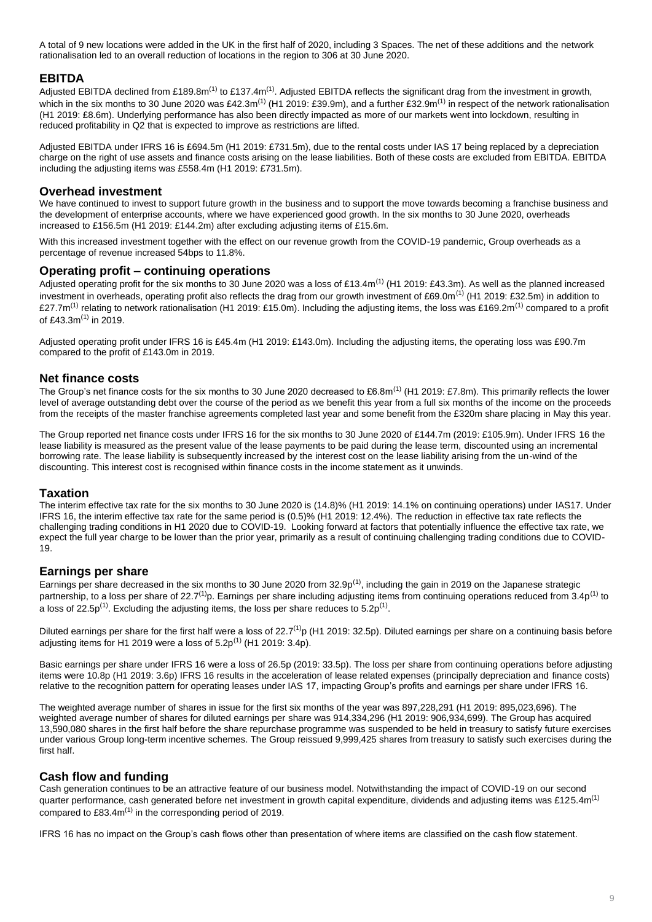A total of 9 new locations were added in the UK in the first half of 2020, including 3 Spaces. The net of these additions and the network rationalisation led to an overall reduction of locations in the region to 306 at 30 June 2020.

# **EBITDA**

Adjusted EBITDA declined from £189.8m<sup>(1)</sup> to £137.4m<sup>(1)</sup>. Adjusted EBITDA reflects the significant drag from the investment in growth, which in the six months to 30 June 2020 was £42.3m<sup>(1)</sup> (H1 2019: £39.9m), and a further £32.9m<sup>(1)</sup> in respect of the network rationalisation (H1 2019: £8.6m). Underlying performance has also been directly impacted as more of our markets went into lockdown, resulting in reduced profitability in Q2 that is expected to improve as restrictions are lifted.

Adjusted EBITDA under IFRS 16 is £694.5m (H1 2019: £731.5m), due to the rental costs under IAS 17 being replaced by a depreciation charge on the right of use assets and finance costs arising on the lease liabilities. Both of these costs are excluded from EBITDA. EBITDA including the adjusting items was £558.4m (H1 2019: £731.5m).

## **Overhead investment**

We have continued to invest to support future growth in the business and to support the move towards becoming a franchise business and the development of enterprise accounts, where we have experienced good growth. In the six months to 30 June 2020, overheads increased to £156.5m (H1 2019: £144.2m) after excluding adjusting items of £15.6m.

With this increased investment together with the effect on our revenue growth from the COVID-19 pandemic, Group overheads as a percentage of revenue increased 54bps to 11.8%.

## **Operating profit – continuing operations**

Adjusted operating profit for the six months to 30 June 2020 was a loss of £13.4m<sup>(1)</sup> (H1 2019: £43.3m). As well as the planned increased investment in overheads, operating profit also reflects the drag from our growth investment of £69.0m<sup>(1)</sup> (H1 2019: £32.5m) in addition to £27.7m<sup>(1)</sup> relating to network rationalisation (H1 2019: £15.0m). Including the adjusting items, the loss was £169.2m<sup>(1)</sup> compared to a profit of £43.3 $m^{(1)}$  in 2019.

Adjusted operating profit under IFRS 16 is £45.4m (H1 2019: £143.0m). Including the adjusting items, the operating loss was £90.7m compared to the profit of £143.0m in 2019.

# **Net finance costs**

The Group's net finance costs for the six months to 30 June 2020 decreased to £6.8m<sup>(1)</sup> (H1 2019: £7.8m). This primarily reflects the lower level of average outstanding debt over the course of the period as we benefit this year from a full six months of the income on the proceeds from the receipts of the master franchise agreements completed last year and some benefit from the £320m share placing in May this year.

The Group reported net finance costs under IFRS 16 for the six months to 30 June 2020 of £144.7m (2019: £105.9m). Under IFRS 16 the lease liability is measured as the present value of the lease payments to be paid during the lease term, discounted using an incremental borrowing rate. The lease liability is subsequently increased by the interest cost on the lease liability arising from the un-wind of the discounting. This interest cost is recognised within finance costs in the income statement as it unwinds.

# **Taxation**

The interim effective tax rate for the six months to 30 June 2020 is (14.8)% (H1 2019: 14.1% on continuing operations) under IAS17. Under IFRS 16, the interim effective tax rate for the same period is (0.5)% (H1 2019: 12.4%). The reduction in effective tax rate reflects the challenging trading conditions in H1 2020 due to COVID-19. Looking forward at factors that potentially influence the effective tax rate, we expect the full year charge to be lower than the prior year, primarily as a result of continuing challenging trading conditions due to COVID-19.

# **Earnings per share**

Earnings per share decreased in the six months to 30 June 2020 from 32.9 $p^{(1)}$ , including the gain in 2019 on the Japanese strategic partnership, to a loss per share of 22.7<sup>(1)</sup>p. Earnings per share including adjusting items from continuing operations reduced from 3.4p<sup>(1)</sup> to a loss of 22.5p<sup>(1)</sup>. Excluding the adjusting items, the loss per share reduces to 5.2p<sup>(1)</sup>.

Diluted earnings per share for the first half were a loss of  $22.7<sup>(1)</sup>p$  (H1 2019: 32.5p). Diluted earnings per share on a continuing basis before adjusting items for H1 2019 were a loss of  $5.2p^{(1)}$  (H1 2019: 3.4p).

Basic earnings per share under IFRS 16 were a loss of 26.5p (2019: 33.5p). The loss per share from continuing operations before adjusting items were 10.8p (H1 2019: 3.6p) IFRS 16 results in the acceleration of lease related expenses (principally depreciation and finance costs) relative to the recognition pattern for operating leases under IAS 17, impacting Group's profits and earnings per share under IFRS 16.

The weighted average number of shares in issue for the first six months of the year was 897,228,291 (H1 2019: 895,023,696). The weighted average number of shares for diluted earnings per share was 914,334,296 (H1 2019: 906,934,699). The Group has acquired 13,590,080 shares in the first half before the share repurchase programme was suspended to be held in treasury to satisfy future exercises under various Group long-term incentive schemes. The Group reissued 9,999,425 shares from treasury to satisfy such exercises during the first half.

# **Cash flow and funding**

Cash generation continues to be an attractive feature of our business model. Notwithstanding the impact of COVID-19 on our second quarter performance, cash generated before net investment in growth capital expenditure, dividends and adjusting items was £125.4m<sup>(1)</sup> compared to £83.4 $m^{(1)}$  in the corresponding period of 2019.

IFRS 16 has no impact on the Group's cash flows other than presentation of where items are classified on the cash flow statement.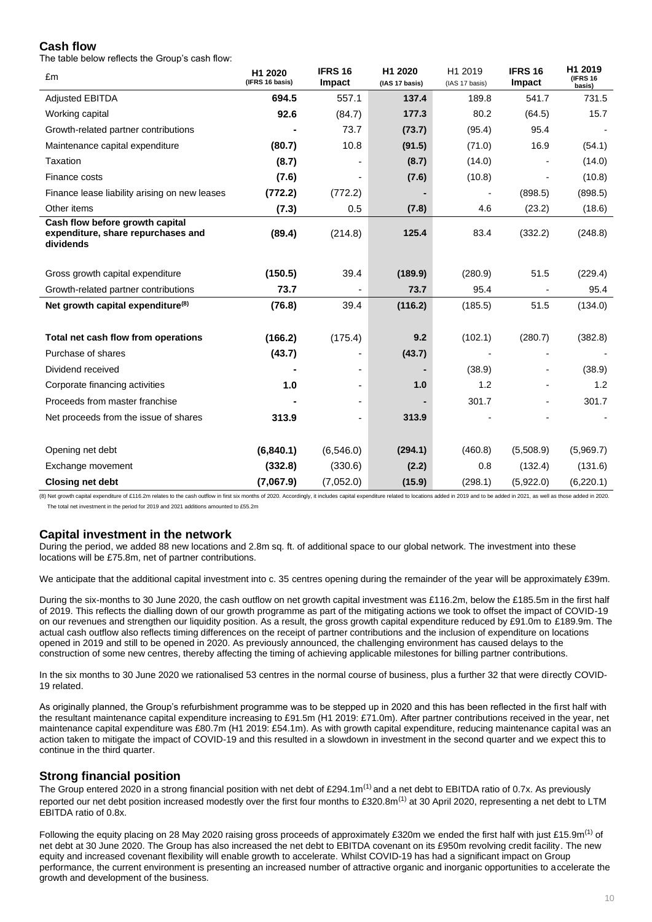# **Cash flow**

The table below reflects the Group's cash flow:

| £m                                                                                 | H1 2020<br>(IFRS 16 basis) | <b>IFRS 16</b><br>Impact | H1 2020<br>(IAS 17 basis) | H1 2019<br>(IAS 17 basis) | <b>IFRS 16</b><br>Impact | H1 2019<br><b>(IFRS 16)</b><br>basis) |
|------------------------------------------------------------------------------------|----------------------------|--------------------------|---------------------------|---------------------------|--------------------------|---------------------------------------|
| <b>Adjusted EBITDA</b>                                                             | 694.5                      | 557.1                    | 137.4                     | 189.8                     | 541.7                    | 731.5                                 |
| Working capital                                                                    | 92.6                       | (84.7)                   | 177.3                     | 80.2                      | (64.5)                   | 15.7                                  |
| Growth-related partner contributions                                               |                            | 73.7                     | (73.7)                    | (95.4)                    | 95.4                     |                                       |
| Maintenance capital expenditure                                                    | (80.7)                     | 10.8                     | (91.5)                    | (71.0)                    | 16.9                     | (54.1)                                |
| Taxation                                                                           | (8.7)                      |                          | (8.7)                     | (14.0)                    |                          | (14.0)                                |
| Finance costs                                                                      | (7.6)                      |                          | (7.6)                     | (10.8)                    |                          | (10.8)                                |
| Finance lease liability arising on new leases                                      | (772.2)                    | (772.2)                  |                           | $\overline{a}$            | (898.5)                  | (898.5)                               |
| Other items                                                                        | (7.3)                      | 0.5                      | (7.8)                     | 4.6                       | (23.2)                   | (18.6)                                |
| Cash flow before growth capital<br>expenditure, share repurchases and<br>dividends | (89.4)                     | (214.8)                  | 125.4                     | 83.4                      | (332.2)                  | (248.8)                               |
| Gross growth capital expenditure                                                   | (150.5)                    | 39.4                     | (189.9)                   | (280.9)                   | 51.5                     | (229.4)                               |
| Growth-related partner contributions                                               | 73.7                       |                          | 73.7                      | 95.4                      |                          | 95.4                                  |
| Net growth capital expenditure <sup>(8)</sup>                                      | (76.8)                     | 39.4                     | (116.2)                   | (185.5)                   | 51.5                     | (134.0)                               |
| Total net cash flow from operations                                                | (166.2)                    | (175.4)                  | 9.2                       | (102.1)                   | (280.7)                  | (382.8)                               |
| Purchase of shares                                                                 | (43.7)                     |                          | (43.7)                    |                           |                          |                                       |
| Dividend received                                                                  |                            |                          |                           | (38.9)                    |                          | (38.9)                                |
| Corporate financing activities                                                     | 1.0                        |                          | 1.0                       | 1.2                       |                          | 1.2                                   |
| Proceeds from master franchise                                                     |                            |                          |                           | 301.7                     |                          | 301.7                                 |
| Net proceeds from the issue of shares                                              | 313.9                      |                          | 313.9                     |                           |                          |                                       |
|                                                                                    |                            |                          |                           |                           |                          |                                       |
| Opening net debt                                                                   | (6,840.1)                  | (6,546.0)                | (294.1)                   | (460.8)                   | (5,508.9)                | (5,969.7)                             |
| Exchange movement                                                                  | (332.8)                    | (330.6)                  | (2.2)                     | 0.8                       | (132.4)                  | (131.6)                               |
| <b>Closing net debt</b>                                                            | (7,067.9)                  | (7,052.0)                | (15.9)                    | (298.1)                   | (5,922.0)                | (6,220.1)                             |

(8) Net growth capital expenditure of £116.2m relates to the cash outflow in first six months of 2020. Accordingly, it includes capital expenditure related to locations added in 2019 and to be added in 2021, as well as tho The total net investment in the period for 2019 and 2021 additions amounted to £55.2m

# **Capital investment in the network**

During the period, we added 88 new locations and 2.8m sq. ft. of additional space to our global network. The investment into these locations will be £75.8m, net of partner contributions.

We anticipate that the additional capital investment into c. 35 centres opening during the remainder of the year will be approximately £39m.

During the six-months to 30 June 2020, the cash outflow on net growth capital investment was £116.2m, below the £185.5m in the first half of 2019. This reflects the dialling down of our growth programme as part of the mitigating actions we took to offset the impact of COVID-19 on our revenues and strengthen our liquidity position. As a result, the gross growth capital expenditure reduced by £91.0m to £189.9m. The actual cash outflow also reflects timing differences on the receipt of partner contributions and the inclusion of expenditure on locations opened in 2019 and still to be opened in 2020. As previously announced, the challenging environment has caused delays to the construction of some new centres, thereby affecting the timing of achieving applicable milestones for billing partner contributions.

In the six months to 30 June 2020 we rationalised 53 centres in the normal course of business, plus a further 32 that were directly COVID-19 related.

As originally planned, the Group's refurbishment programme was to be stepped up in 2020 and this has been reflected in the first half with the resultant maintenance capital expenditure increasing to £91.5m (H1 2019: £71.0m). After partner contributions received in the year, net maintenance capital expenditure was £80.7m (H1 2019: £54.1m). As with growth capital expenditure, reducing maintenance capital was an action taken to mitigate the impact of COVID-19 and this resulted in a slowdown in investment in the second quarter and we expect this to continue in the third quarter.

# **Strong financial position**

The Group entered 2020 in a strong financial position with net debt of £294.1 $m^{(1)}$  and a net debt to EBITDA ratio of 0.7x. As previously reported our net debt position increased modestly over the first four months to  $£320.8m<sup>(1)</sup>$  at 30 April 2020, representing a net debt to LTM EBITDA ratio of 0.8x.

Following the equity placing on 28 May 2020 raising gross proceeds of approximately £320m we ended the first half with just £15.9m<sup>(1)</sup> of net debt at 30 June 2020. The Group has also increased the net debt to EBITDA covenant on its £950m revolving credit facility. The new equity and increased covenant flexibility will enable growth to accelerate. Whilst COVID-19 has had a significant impact on Group performance, the current environment is presenting an increased number of attractive organic and inorganic opportunities to accelerate the growth and development of the business.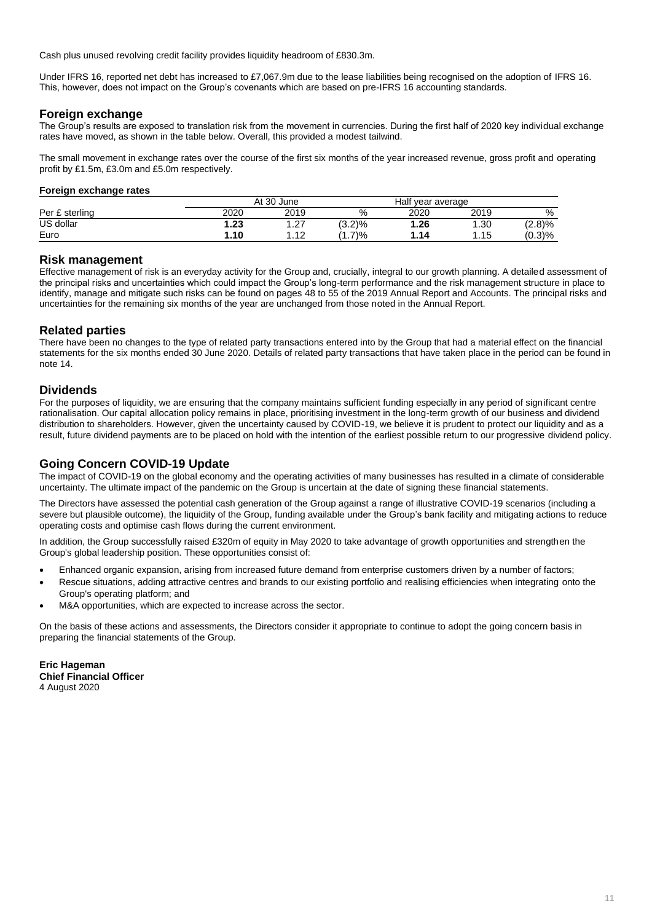Cash plus unused revolving credit facility provides liquidity headroom of £830.3m.

Under IFRS 16, reported net debt has increased to £7,067.9m due to the lease liabilities being recognised on the adoption of IFRS 16. This, however, does not impact on the Group's covenants which are based on pre-IFRS 16 accounting standards.

## **Foreign exchange**

The Group's results are exposed to translation risk from the movement in currencies. During the first half of 2020 key individual exchange rates have moved, as shown in the table below. Overall, this provided a modest tailwind.

The small movement in exchange rates over the course of the first six months of the year increased revenue, gross profit and operating profit by £1.5m, £3.0m and £5.0m respectively.

## **Foreign exchange rates**

|                       | 30 June<br>At |             |          | Half year average |      |        |  |
|-----------------------|---------------|-------------|----------|-------------------|------|--------|--|
| : sterlina<br>Per $E$ | 2020          | 2019        | %        | 2020              | 2019 | %      |  |
| US dollar             | .23           | דר<br>ا ے ا | (3.2)%   | 26. ا             | .30  | (2.8)% |  |
| Euro                  | .10،          | - 10<br>.   | 7)%<br>. | .14،              | 1.15 | (0.3)% |  |

# **Risk management**

Effective management of risk is an everyday activity for the Group and, crucially, integral to our growth planning. A detailed assessment of the principal risks and uncertainties which could impact the Group's long-term performance and the risk management structure in place to identify, manage and mitigate such risks can be found on pages 48 to 55 of the 2019 Annual Report and Accounts. The principal risks and uncertainties for the remaining six months of the year are unchanged from those noted in the Annual Report.

# **Related parties**

There have been no changes to the type of related party transactions entered into by the Group that had a material effect on the financial statements for the six months ended 30 June 2020. Details of related party transactions that have taken place in the period can be found in note 14.

# **Dividends**

For the purposes of liquidity, we are ensuring that the company maintains sufficient funding especially in any period of significant centre rationalisation. Our capital allocation policy remains in place, prioritising investment in the long-term growth of our business and dividend distribution to shareholders. However, given the uncertainty caused by COVID-19, we believe it is prudent to protect our liquidity and as a result, future dividend payments are to be placed on hold with the intention of the earliest possible return to our progressive dividend policy.

# **Going Concern COVID-19 Update**

The impact of COVID-19 on the global economy and the operating activities of many businesses has resulted in a climate of considerable uncertainty. The ultimate impact of the pandemic on the Group is uncertain at the date of signing these financial statements.

The Directors have assessed the potential cash generation of the Group against a range of illustrative COVID-19 scenarios (including a severe but plausible outcome), the liquidity of the Group, funding available under the Group's bank facility and mitigating actions to reduce operating costs and optimise cash flows during the current environment.

In addition, the Group successfully raised £320m of equity in May 2020 to take advantage of growth opportunities and strengthen the Group's global leadership position. These opportunities consist of:

- Enhanced organic expansion, arising from increased future demand from enterprise customers driven by a number of factors;
- Rescue situations, adding attractive centres and brands to our existing portfolio and realising efficiencies when integrating onto the Group's operating platform; and
- M&A opportunities, which are expected to increase across the sector.

On the basis of these actions and assessments, the Directors consider it appropriate to continue to adopt the going concern basis in preparing the financial statements of the Group.

**Eric Hageman Chief Financial Officer**  4 August 2020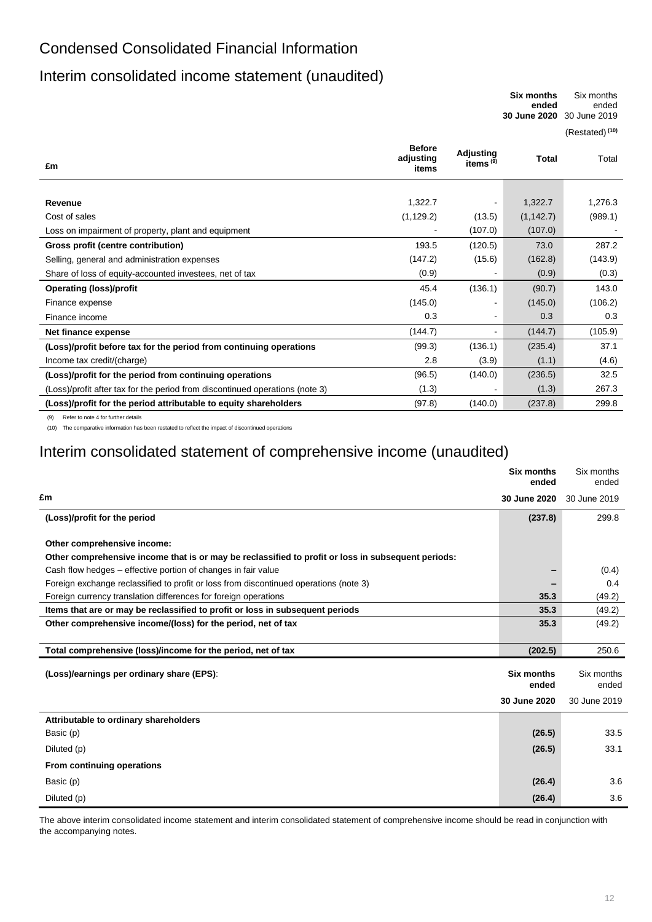# Condensed Consolidated Financial Information

# Interim consolidated income statement (unaudited)

**Six months ended** Six months ended **30 June 2020** 30 June 2019

(Restated) **(10)**

| £m                                                                           | <b>Before</b><br>adjusting<br>items | Adjusting<br>items $(9)$ | <b>Total</b> | Total   |
|------------------------------------------------------------------------------|-------------------------------------|--------------------------|--------------|---------|
|                                                                              |                                     |                          |              |         |
| Revenue                                                                      | 1,322.7                             | $\blacksquare$           | 1,322.7      | 1,276.3 |
| Cost of sales                                                                | (1, 129.2)                          | (13.5)                   | (1, 142.7)   | (989.1) |
| Loss on impairment of property, plant and equipment                          |                                     | (107.0)                  | (107.0)      |         |
| Gross profit (centre contribution)                                           | 193.5                               | (120.5)                  | 73.0         | 287.2   |
| Selling, general and administration expenses                                 | (147.2)                             | (15.6)                   | (162.8)      | (143.9) |
| Share of loss of equity-accounted investees, net of tax                      | (0.9)                               |                          | (0.9)        | (0.3)   |
| <b>Operating (loss)/profit</b>                                               | 45.4                                | (136.1)                  | (90.7)       | 143.0   |
| Finance expense                                                              | (145.0)                             | $\blacksquare$           | (145.0)      | (106.2) |
| Finance income                                                               | 0.3                                 | $\blacksquare$           | 0.3          | 0.3     |
| Net finance expense                                                          | (144.7)                             | $\blacksquare$           | (144.7)      | (105.9) |
| (Loss)/profit before tax for the period from continuing operations           | (99.3)                              | (136.1)                  | (235.4)      | 37.1    |
| Income tax credit/(charge)                                                   | 2.8                                 | (3.9)                    | (1.1)        | (4.6)   |
| (Loss)/profit for the period from continuing operations                      | (96.5)                              | (140.0)                  | (236.5)      | 32.5    |
| (Loss)/profit after tax for the period from discontinued operations (note 3) | (1.3)                               |                          | (1.3)        | 267.3   |
| (Loss)/profit for the period attributable to equity shareholders             | (97.8)                              | (140.0)                  | (237.8)      | 299.8   |

(9) Refer to note 4 for further details

(10) The comparative information has been restated to reflect the impact of discontinued operations

# Interim consolidated statement of comprehensive income (unaudited)

|                                                                                                                                   | Six months<br>ended        | Six months<br>ended |
|-----------------------------------------------------------------------------------------------------------------------------------|----------------------------|---------------------|
| £m                                                                                                                                | 30 June 2020               | 30 June 2019        |
| (Loss)/profit for the period                                                                                                      | (237.8)                    | 299.8               |
| Other comprehensive income:<br>Other comprehensive income that is or may be reclassified to profit or loss in subsequent periods: |                            |                     |
| Cash flow hedges – effective portion of changes in fair value                                                                     |                            | (0.4)               |
| Foreign exchange reclassified to profit or loss from discontinued operations (note 3)                                             |                            | 0.4                 |
| Foreign currency translation differences for foreign operations                                                                   | 35.3                       | (49.2)              |
| Items that are or may be reclassified to profit or loss in subsequent periods                                                     | 35.3                       | (49.2)              |
| Other comprehensive income/(loss) for the period, net of tax                                                                      | 35.3                       | (49.2)              |
|                                                                                                                                   |                            |                     |
| Total comprehensive (loss)/income for the period, net of tax                                                                      | (202.5)                    | 250.6               |
| (Loss)/earnings per ordinary share (EPS):                                                                                         | <b>Six months</b><br>ended | Six months<br>ended |
|                                                                                                                                   | 30 June 2020               | 30 June 2019        |
| Attributable to ordinary shareholders                                                                                             |                            |                     |
| Basic (p)                                                                                                                         | (26.5)                     | 33.5                |
| Diluted (p)                                                                                                                       | (26.5)                     | 33.1                |
| From continuing operations                                                                                                        |                            |                     |
| Basic (p)                                                                                                                         | (26.4)                     | 3.6                 |
| Diluted (p)                                                                                                                       | (26.4)                     | 3.6                 |

The above interim consolidated income statement and interim consolidated statement of comprehensive income should be read in conjunction with the accompanying notes.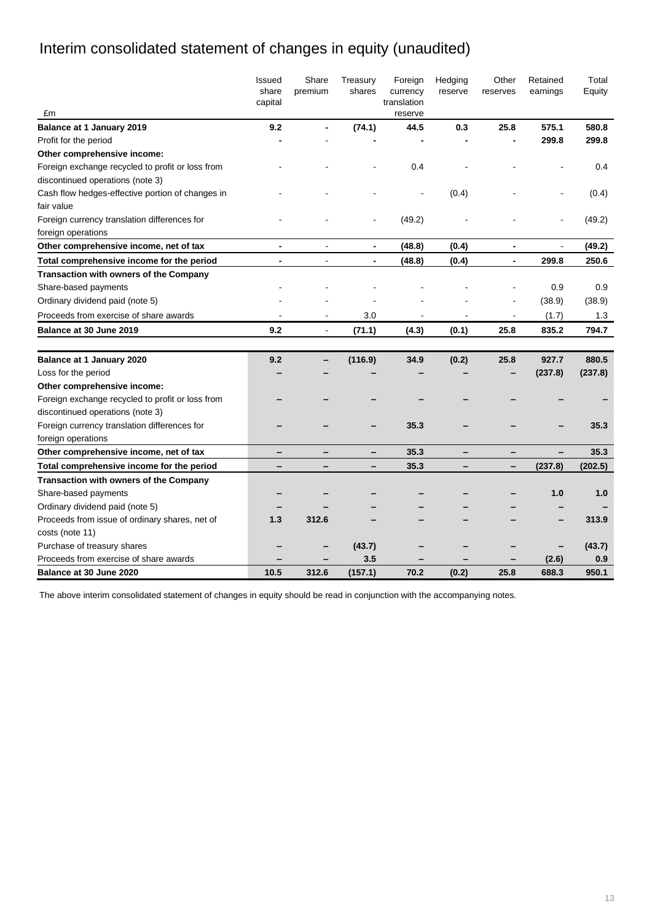# Interim consolidated statement of changes in equity (unaudited)

| £m                                               | Issued<br>share<br>capital | Share<br>premium | Treasury<br>shares       | Foreign<br>currency<br>translation<br>reserve | Hedging<br>reserve | Other<br>reserves | Retained<br>earnings | Total<br>Equity |
|--------------------------------------------------|----------------------------|------------------|--------------------------|-----------------------------------------------|--------------------|-------------------|----------------------|-----------------|
| <b>Balance at 1 January 2019</b>                 | 9.2                        |                  | (74.1)                   | 44.5                                          | 0.3                | 25.8              | 575.1                | 580.8           |
| Profit for the period                            |                            |                  |                          |                                               |                    |                   | 299.8                | 299.8           |
| Other comprehensive income:                      |                            |                  |                          |                                               |                    |                   |                      |                 |
| Foreign exchange recycled to profit or loss from |                            |                  |                          | 0.4                                           |                    |                   |                      | 0.4             |
| discontinued operations (note 3)                 |                            |                  |                          |                                               |                    |                   |                      |                 |
| Cash flow hedges-effective portion of changes in |                            |                  |                          |                                               | (0.4)              |                   |                      | (0.4)           |
| fair value                                       |                            |                  |                          |                                               |                    |                   |                      |                 |
| Foreign currency translation differences for     |                            |                  |                          | (49.2)                                        |                    |                   |                      | (49.2)          |
| foreign operations                               |                            |                  |                          |                                               |                    |                   |                      |                 |
| Other comprehensive income, net of tax           | $\blacksquare$             | $\overline{a}$   | $\overline{\phantom{a}}$ | (48.8)                                        | (0.4)              | $\blacksquare$    | $\overline{a}$       | (49.2)          |
| Total comprehensive income for the period        | $\blacksquare$             |                  |                          | (48.8)                                        | (0.4)              | $\blacksquare$    | 299.8                | 250.6           |
| <b>Transaction with owners of the Company</b>    |                            |                  |                          |                                               |                    |                   |                      |                 |
| Share-based payments                             |                            |                  |                          |                                               |                    |                   | 0.9                  | 0.9             |
| Ordinary dividend paid (note 5)                  |                            |                  |                          |                                               |                    |                   | (38.9)               | (38.9)          |
| Proceeds from exercise of share awards           |                            |                  | 3.0                      |                                               |                    |                   | (1.7)                | 1.3             |
| <b>Balance at 30 June 2019</b>                   | 9.2                        |                  | (71.1)                   | (4.3)                                         | (0.1)              | 25.8              | 835.2                | 794.7           |
|                                                  |                            |                  |                          |                                               |                    |                   |                      |                 |
| Balance at 1 January 2020                        | 9.2                        |                  | (116.9)                  | 34.9                                          | (0.2)              | 25.8              | 927.7                | 880.5           |
| Loss for the period                              |                            |                  |                          |                                               |                    |                   | (237.8)              | (237.8)         |
| Other comprehensive income:                      |                            |                  |                          |                                               |                    |                   |                      |                 |
| Foreign exchange recycled to profit or loss from |                            |                  |                          |                                               |                    |                   |                      |                 |
| discontinued operations (note 3)                 |                            |                  |                          |                                               |                    |                   |                      |                 |
| Foreign currency translation differences for     |                            |                  |                          | 35.3                                          |                    |                   |                      | 35.3            |
| foreign operations                               |                            |                  |                          |                                               |                    |                   |                      |                 |
| Other comprehensive income, net of tax           |                            |                  |                          | 35.3                                          |                    |                   |                      | 35.3            |
| Total comprehensive income for the period        |                            |                  |                          | 35.3                                          |                    |                   | (237.8)              | (202.5)         |
| <b>Transaction with owners of the Company</b>    |                            |                  |                          |                                               |                    |                   |                      |                 |
| Share-based payments                             |                            |                  |                          |                                               |                    |                   | 1.0                  | 1.0             |
| Ordinary dividend paid (note 5)                  |                            |                  |                          |                                               |                    |                   |                      |                 |
| Proceeds from issue of ordinary shares, net of   | 1.3                        | 312.6            |                          |                                               |                    |                   |                      | 313.9           |
| costs (note 11)                                  |                            |                  |                          |                                               |                    |                   |                      |                 |
| Purchase of treasury shares                      |                            |                  | (43.7)                   |                                               |                    |                   |                      | (43.7)          |
| Proceeds from exercise of share awards           |                            |                  | 3.5                      |                                               |                    |                   | (2.6)                | 0.9             |
| Balance at 30 June 2020                          | 10.5                       | 312.6            | (157.1)                  | 70.2                                          | (0.2)              | 25.8              | 688.3                | 950.1           |

The above interim consolidated statement of changes in equity should be read in conjunction with the accompanying notes.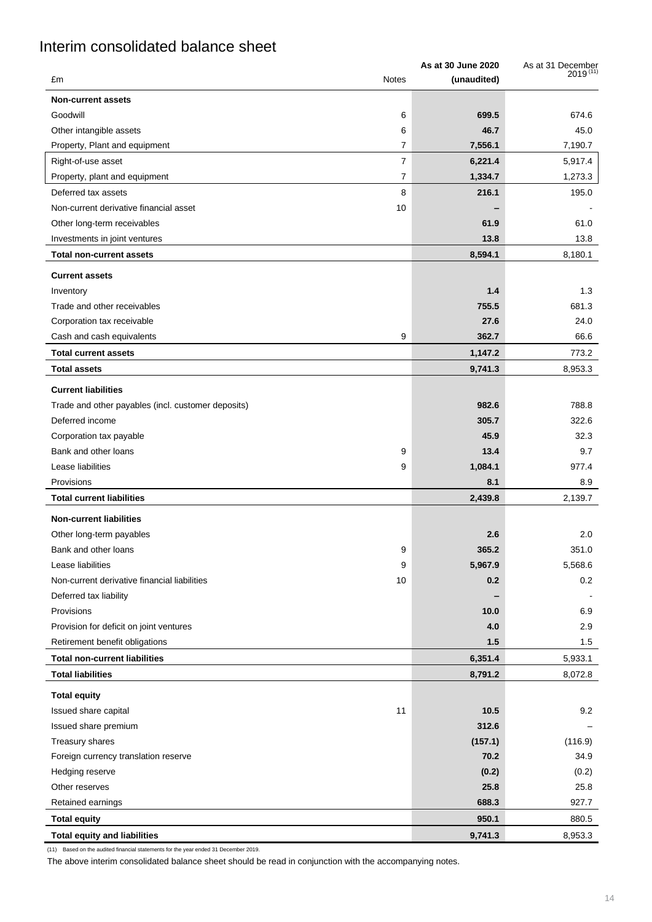# Interim consolidated balance sheet

|                                                    | As at 30 June 2020 | As at 31 December |
|----------------------------------------------------|--------------------|-------------------|
| £m<br><b>Notes</b>                                 | (unaudited)        | $2019^{(11)}$     |
| <b>Non-current assets</b>                          |                    |                   |
| Goodwill<br>6                                      | 699.5              | 674.6             |
| Other intangible assets<br>6                       | 46.7               | 45.0              |
| $\overline{7}$<br>Property, Plant and equipment    | 7,556.1            | 7,190.7           |
| $\overline{7}$<br>Right-of-use asset               | 6,221.4            | 5,917.4           |
| Property, plant and equipment<br>7                 | 1,334.7            | 1,273.3           |
| Deferred tax assets<br>8                           | 216.1              | 195.0             |
| 10<br>Non-current derivative financial asset       |                    |                   |
| Other long-term receivables                        | 61.9               | 61.0              |
| Investments in joint ventures                      | 13.8               | 13.8              |
| <b>Total non-current assets</b>                    | 8,594.1            | 8,180.1           |
| <b>Current assets</b>                              |                    |                   |
| Inventory                                          | 1.4                | 1.3               |
| Trade and other receivables                        | 755.5              | 681.3             |
| Corporation tax receivable                         | 27.6               | 24.0              |
| Cash and cash equivalents<br>9                     | 362.7              | 66.6              |
| <b>Total current assets</b>                        | 1,147.2            | 773.2             |
| <b>Total assets</b>                                | 9,741.3            | 8,953.3           |
| <b>Current liabilities</b>                         |                    |                   |
| Trade and other payables (incl. customer deposits) | 982.6              | 788.8             |
| Deferred income                                    | 305.7              | 322.6             |
| Corporation tax payable                            | 45.9               | 32.3              |
| Bank and other loans<br>9                          | 13.4               | 9.7               |
| Lease liabilities<br>9                             | 1,084.1            | 977.4             |
| Provisions                                         | 8.1                | 8.9               |
| <b>Total current liabilities</b>                   | 2,439.8            | 2,139.7           |
| <b>Non-current liabilities</b>                     |                    |                   |
| Other long-term payables                           | 2.6                | 2.0               |
| Bank and other loans<br>9                          | 365.2              | 351.0             |
| Lease liabilities<br>9                             | 5,967.9            | 5,568.6           |
| Non-current derivative financial liabilities<br>10 | 0.2                | 0.2               |
| Deferred tax liability                             |                    |                   |
| Provisions                                         | 10.0               | 6.9               |
| Provision for deficit on joint ventures            | 4.0                | 2.9               |
| Retirement benefit obligations                     | 1.5                | 1.5               |
| <b>Total non-current liabilities</b>               | 6,351.4            | 5,933.1           |
| <b>Total liabilities</b>                           | 8,791.2            | 8,072.8           |
| <b>Total equity</b>                                |                    |                   |
| 11<br>Issued share capital                         | 10.5               | 9.2               |
| Issued share premium                               | 312.6              |                   |
| Treasury shares                                    | (157.1)            | (116.9)           |
| Foreign currency translation reserve               | 70.2               | 34.9              |
| Hedging reserve                                    | (0.2)              | (0.2)             |
| Other reserves                                     | 25.8               | 25.8              |
| Retained earnings                                  | 688.3              | 927.7             |
| <b>Total equity</b>                                | 950.1              | 880.5             |
| <b>Total equity and liabilities</b>                | 9,741.3            | 8,953.3           |

(11) Based on the audited financial statements for the year ended 31 December 2019.

The above interim consolidated balance sheet should be read in conjunction with the accompanying notes.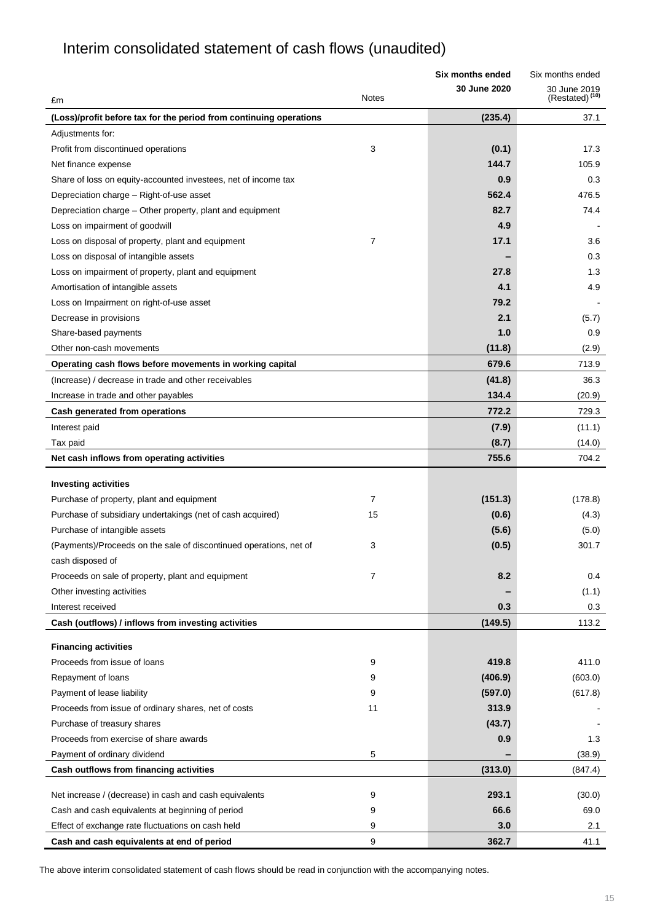# Interim consolidated statement of cash flows (unaudited)

|                                                                    |       | Six months ended    | Six months ended                           |
|--------------------------------------------------------------------|-------|---------------------|--------------------------------------------|
| £m                                                                 | Notes | <b>30 June 2020</b> | 30 June 2019<br>(Restated) <sup>(10)</sup> |
| (Loss)/profit before tax for the period from continuing operations |       | (235.4)             | 37.1                                       |
| Adjustments for:                                                   |       |                     |                                            |
| Profit from discontinued operations                                | 3     | (0.1)               | 17.3                                       |
| Net finance expense                                                |       | 144.7               | 105.9                                      |
| Share of loss on equity-accounted investees, net of income tax     |       | 0.9                 | 0.3                                        |
| Depreciation charge - Right-of-use asset                           |       | 562.4               | 476.5                                      |
| Depreciation charge - Other property, plant and equipment          |       | 82.7                | 74.4                                       |
| Loss on impairment of goodwill                                     |       | 4.9                 |                                            |
| Loss on disposal of property, plant and equipment                  | 7     | 17.1                | 3.6                                        |
| Loss on disposal of intangible assets                              |       |                     | 0.3                                        |
| Loss on impairment of property, plant and equipment                |       | 27.8                | 1.3                                        |
| Amortisation of intangible assets                                  |       | 4.1                 | 4.9                                        |
| Loss on Impairment on right-of-use asset                           |       | 79.2                |                                            |
| Decrease in provisions                                             |       | 2.1                 | (5.7)                                      |
| Share-based payments                                               |       | 1.0                 | 0.9                                        |
| Other non-cash movements                                           |       | (11.8)              | (2.9)                                      |
| Operating cash flows before movements in working capital           |       | 679.6               | 713.9                                      |
| (Increase) / decrease in trade and other receivables               |       | (41.8)              | 36.3                                       |
| Increase in trade and other payables                               |       | 134.4               | (20.9)                                     |
| Cash generated from operations                                     |       | 772.2               | 729.3                                      |
| Interest paid                                                      |       | (7.9)               | (11.1)                                     |
| Tax paid                                                           |       | (8.7)               | (14.0)                                     |
| Net cash inflows from operating activities                         |       | 755.6               | 704.2                                      |
| <b>Investing activities</b>                                        |       |                     |                                            |
| Purchase of property, plant and equipment                          | 7     | (151.3)             | (178.8)                                    |
| Purchase of subsidiary undertakings (net of cash acquired)         | 15    | (0.6)               | (4.3)                                      |
| Purchase of intangible assets                                      |       | (5.6)               | (5.0)                                      |
| (Payments)/Proceeds on the sale of discontinued operations, net of | 3     | (0.5)               | 301.7                                      |
| cash disposed of                                                   |       |                     |                                            |
| Proceeds on sale of property, plant and equipment                  | 7     | 8.2                 | 0.4                                        |
| Other investing activities                                         |       |                     | (1.1)                                      |
| Interest received                                                  |       | 0.3                 | 0.3                                        |
| Cash (outflows) / inflows from investing activities                |       | (149.5)             | 113.2                                      |
| <b>Financing activities</b>                                        |       |                     |                                            |
| Proceeds from issue of loans                                       | 9     | 419.8               | 411.0                                      |
| Repayment of loans                                                 | 9     | (406.9)             | (603.0)                                    |
| Payment of lease liability                                         | 9     | (597.0)             | (617.8)                                    |
| Proceeds from issue of ordinary shares, net of costs               | 11    | 313.9               |                                            |
| Purchase of treasury shares                                        |       | (43.7)              |                                            |
| Proceeds from exercise of share awards                             |       | 0.9                 | 1.3                                        |
| Payment of ordinary dividend                                       | 5     |                     | (38.9)                                     |
| Cash outflows from financing activities                            |       | (313.0)             | (847.4)                                    |
| Net increase / (decrease) in cash and cash equivalents             | 9     | 293.1               | (30.0)                                     |
| Cash and cash equivalents at beginning of period                   | 9     | 66.6                | 69.0                                       |
| Effect of exchange rate fluctuations on cash held                  | 9     | 3.0                 | 2.1                                        |
| Cash and cash equivalents at end of period                         | 9     | 362.7               | 41.1                                       |
|                                                                    |       |                     |                                            |

The above interim consolidated statement of cash flows should be read in conjunction with the accompanying notes.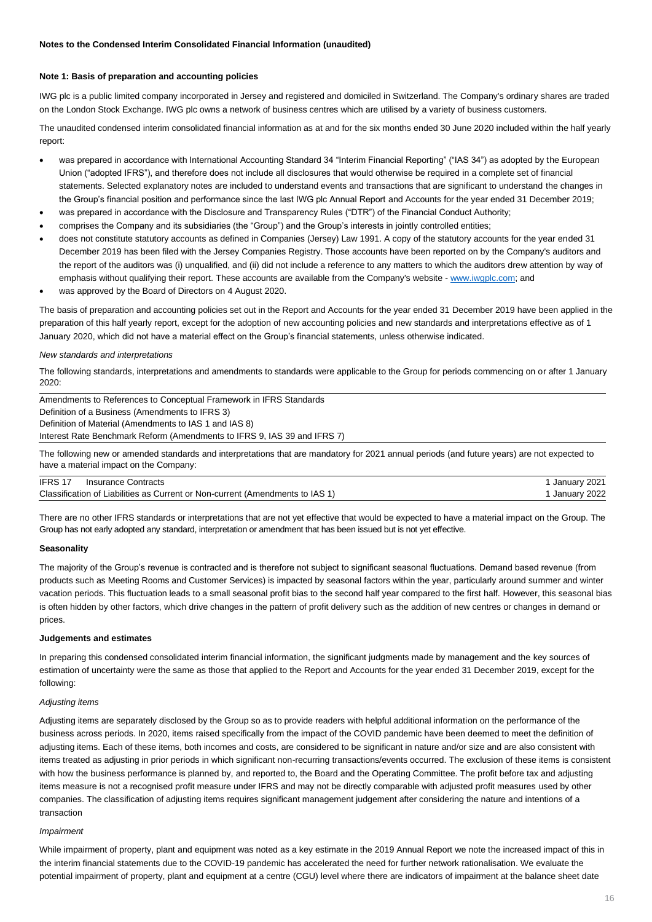#### **Note 1: Basis of preparation and accounting policies**

IWG plc is a public limited company incorporated in Jersey and registered and domiciled in Switzerland. The Company's ordinary shares are traded on the London Stock Exchange. IWG plc owns a network of business centres which are utilised by a variety of business customers.

The unaudited condensed interim consolidated financial information as at and for the six months ended 30 June 2020 included within the half yearly report:

- was prepared in accordance with International Accounting Standard 34 "Interim Financial Reporting" ("IAS 34") as adopted by the European Union ("adopted IFRS"), and therefore does not include all disclosures that would otherwise be required in a complete set of financial statements. Selected explanatory notes are included to understand events and transactions that are significant to understand the changes in the Group's financial position and performance since the last IWG plc Annual Report and Accounts for the year ended 31 December 2019;
- was prepared in accordance with the Disclosure and Transparency Rules ("DTR") of the Financial Conduct Authority;
- comprises the Company and its subsidiaries (the "Group") and the Group's interests in jointly controlled entities;
- does not constitute statutory accounts as defined in Companies (Jersey) Law 1991. A copy of the statutory accounts for the year ended 31 December 2019 has been filed with the Jersey Companies Registry. Those accounts have been reported on by the Company's auditors and the report of the auditors was (i) unqualified, and (ii) did not include a reference to any matters to which the auditors drew attention by way of emphasis without qualifying their report. These accounts are available from the Company's website - [www.iwgplc.com;](http://www.iwgplc.com/) and
- was approved by the Board of Directors on 4 August 2020.

The basis of preparation and accounting policies set out in the Report and Accounts for the year ended 31 December 2019 have been applied in the preparation of this half yearly report, except for the adoption of new accounting policies and new standards and interpretations effective as of 1 January 2020, which did not have a material effect on the Group's financial statements, unless otherwise indicated.

#### *New standards and interpretations*

The following standards, interpretations and amendments to standards were applicable to the Group for periods commencing on or after 1 January 2020:

Amendments to References to Conceptual Framework in IFRS Standards Definition of a Business (Amendments to IFRS 3) Definition of Material (Amendments to IAS 1 and IAS 8) Interest Rate Benchmark Reform (Amendments to IFRS 9, IAS 39 and IFRS 7)

The following new or amended standards and interpretations that are mandatory for 2021 annual periods (and future years) are not expected to have a material impact on the Company:

| IFRS 17<br>Insurance Contracts                                                | January 2021 |
|-------------------------------------------------------------------------------|--------------|
| Classification of Liabilities as Current or Non-current (Amendments to IAS 1) | January 2022 |

There are no other IFRS standards or interpretations that are not yet effective that would be expected to have a material impact on the Group. The Group has not early adopted any standard, interpretation or amendment that has been issued but is not yet effective.

#### **Seasonality**

The majority of the Group's revenue is contracted and is therefore not subject to significant seasonal fluctuations. Demand based revenue (from products such as Meeting Rooms and Customer Services) is impacted by seasonal factors within the year, particularly around summer and winter vacation periods. This fluctuation leads to a small seasonal profit bias to the second half year compared to the first half. However, this seasonal bias is often hidden by other factors, which drive changes in the pattern of profit delivery such as the addition of new centres or changes in demand or prices.

#### **Judgements and estimates**

In preparing this condensed consolidated interim financial information, the significant judgments made by management and the key sources of estimation of uncertainty were the same as those that applied to the Report and Accounts for the year ended 31 December 2019, except for the following:

#### *Adjusting items*

Adjusting items are separately disclosed by the Group so as to provide readers with helpful additional information on the performance of the business across periods. In 2020, items raised specifically from the impact of the COVID pandemic have been deemed to meet the definition of adjusting items. Each of these items, both incomes and costs, are considered to be significant in nature and/or size and are also consistent with items treated as adjusting in prior periods in which significant non-recurring transactions/events occurred. The exclusion of these items is consistent with how the business performance is planned by, and reported to, the Board and the Operating Committee. The profit before tax and adjusting items measure is not a recognised profit measure under IFRS and may not be directly comparable with adjusted profit measures used by other companies. The classification of adjusting items requires significant management judgement after considering the nature and intentions of a transaction

#### *Impairment*

While impairment of property, plant and equipment was noted as a key estimate in the 2019 Annual Report we note the increased impact of this in the interim financial statements due to the COVID-19 pandemic has accelerated the need for further network rationalisation. We evaluate the potential impairment of property, plant and equipment at a centre (CGU) level where there are indicators of impairment at the balance sheet date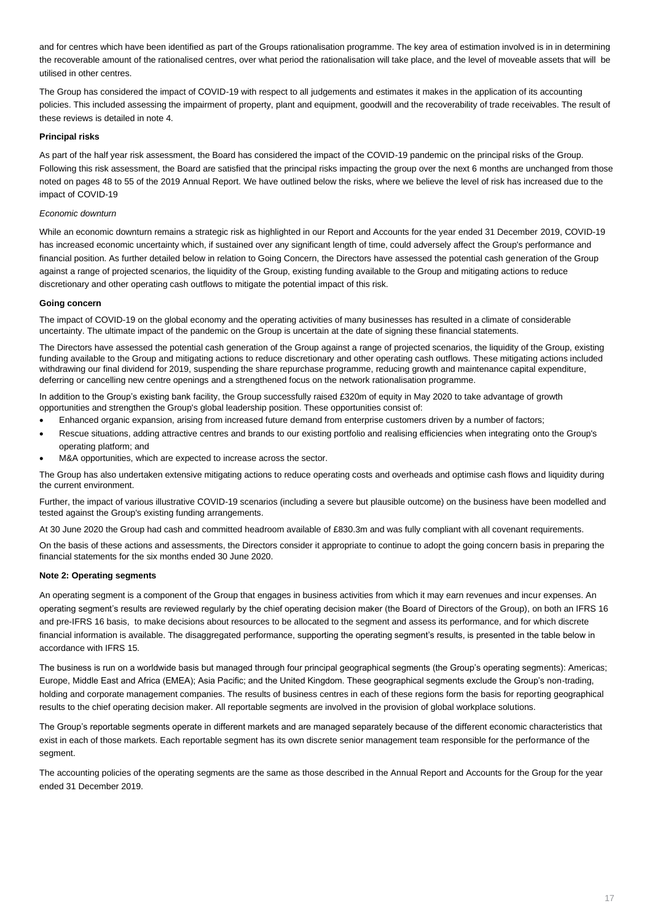and for centres which have been identified as part of the Groups rationalisation programme. The key area of estimation involved is in in determining the recoverable amount of the rationalised centres, over what period the rationalisation will take place, and the level of moveable assets that will be utilised in other centres.

The Group has considered the impact of COVID-19 with respect to all judgements and estimates it makes in the application of its accounting policies. This included assessing the impairment of property, plant and equipment, goodwill and the recoverability of trade receivables. The result of these reviews is detailed in note 4.

#### **Principal risks**

As part of the half year risk assessment, the Board has considered the impact of the COVID-19 pandemic on the principal risks of the Group. Following this risk assessment, the Board are satisfied that the principal risks impacting the group over the next 6 months are unchanged from those noted on pages 48 to 55 of the 2019 Annual Report. We have outlined below the risks, where we believe the level of risk has increased due to the impact of COVID-19

#### *Economic downturn*

While an economic downturn remains a strategic risk as highlighted in our Report and Accounts for the year ended 31 December 2019, COVID-19 has increased economic uncertainty which, if sustained over any significant length of time, could adversely affect the Group's performance and financial position. As further detailed below in relation to Going Concern, the Directors have assessed the potential cash generation of the Group against a range of projected scenarios, the liquidity of the Group, existing funding available to the Group and mitigating actions to reduce discretionary and other operating cash outflows to mitigate the potential impact of this risk.

#### **Going concern**

The impact of COVID-19 on the global economy and the operating activities of many businesses has resulted in a climate of considerable uncertainty. The ultimate impact of the pandemic on the Group is uncertain at the date of signing these financial statements.

The Directors have assessed the potential cash generation of the Group against a range of projected scenarios, the liquidity of the Group, existing funding available to the Group and mitigating actions to reduce discretionary and other operating cash outflows. These mitigating actions included withdrawing our final dividend for 2019, suspending the share repurchase programme, reducing growth and maintenance capital expenditure, deferring or cancelling new centre openings and a strengthened focus on the network rationalisation programme.

In addition to the Group's existing bank facility, the Group successfully raised £320m of equity in May 2020 to take advantage of growth opportunities and strengthen the Group's global leadership position. These opportunities consist of:

- Enhanced organic expansion, arising from increased future demand from enterprise customers driven by a number of factors;
- Rescue situations, adding attractive centres and brands to our existing portfolio and realising efficiencies when integrating onto the Group's operating platform; and
- M&A opportunities, which are expected to increase across the sector.

The Group has also undertaken extensive mitigating actions to reduce operating costs and overheads and optimise cash flows and liquidity during the current environment.

Further, the impact of various illustrative COVID-19 scenarios (including a severe but plausible outcome) on the business have been modelled and tested against the Group's existing funding arrangements.

At 30 June 2020 the Group had cash and committed headroom available of £830.3m and was fully compliant with all covenant requirements.

On the basis of these actions and assessments, the Directors consider it appropriate to continue to adopt the going concern basis in preparing the financial statements for the six months ended 30 June 2020.

#### **Note 2: Operating segments**

An operating segment is a component of the Group that engages in business activities from which it may earn revenues and incur expenses. An operating segment's results are reviewed regularly by the chief operating decision maker (the Board of Directors of the Group), on both an IFRS 16 and pre-IFRS 16 basis, to make decisions about resources to be allocated to the segment and assess its performance, and for which discrete financial information is available. The disaggregated performance, supporting the operating segment's results, is presented in the table below in accordance with IFRS 15.

The business is run on a worldwide basis but managed through four principal geographical segments (the Group's operating segments): Americas; Europe, Middle East and Africa (EMEA); Asia Pacific; and the United Kingdom. These geographical segments exclude the Group's non-trading, holding and corporate management companies. The results of business centres in each of these regions form the basis for reporting geographical results to the chief operating decision maker. All reportable segments are involved in the provision of global workplace solutions.

The Group's reportable segments operate in different markets and are managed separately because of the different economic characteristics that exist in each of those markets. Each reportable segment has its own discrete senior management team responsible for the performance of the segment.

The accounting policies of the operating segments are the same as those described in the Annual Report and Accounts for the Group for the year ended 31 December 2019.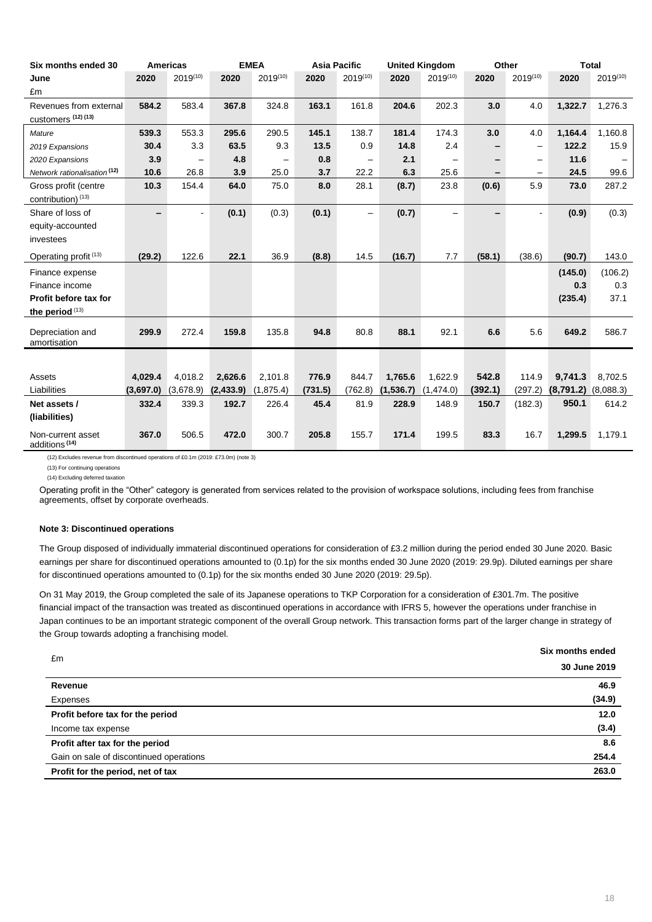| Six months ended 30                            |           | <b>Americas</b>          |            | <b>EMEA</b> | <b>Asia Pacific</b> |                          |            | <b>United Kingdom</b>    |         | Other                    |           | <b>Total</b>  |
|------------------------------------------------|-----------|--------------------------|------------|-------------|---------------------|--------------------------|------------|--------------------------|---------|--------------------------|-----------|---------------|
| June                                           | 2020      | $2019^{(10)}$            | 2020       | 2019(10)    | 2020                | $2019^{(10)}$            | 2020       | $2019^{(10)}$            | 2020    | $2019^{(10)}$            | 2020      | $2019^{(10)}$ |
| £m                                             |           |                          |            |             |                     |                          |            |                          |         |                          |           |               |
| Revenues from external                         | 584.2     | 583.4                    | 367.8      | 324.8       | 163.1               | 161.8                    | 204.6      | 202.3                    | 3.0     | 4.0                      | 1,322.7   | 1,276.3       |
| customers (12) (13)                            |           |                          |            |             |                     |                          |            |                          |         |                          |           |               |
| Mature                                         | 539.3     | 553.3                    | 295.6      | 290.5       | 145.1               | 138.7                    | 181.4      | 174.3                    | 3.0     | 4.0                      | 1,164.4   | 1,160.8       |
| 2019 Expansions                                | 30.4      | 3.3                      | 63.5       | 9.3         | 13.5                | 0.9                      | 14.8       | 2.4                      |         | $\overline{\phantom{m}}$ | 122.2     | 15.9          |
| 2020 Expansions                                | 3.9       | $\overline{\phantom{0}}$ | 4.8        |             | 0.8                 | $\overline{\phantom{m}}$ | 2.1        | $\overline{\phantom{0}}$ | -       | $\overline{\phantom{0}}$ | 11.6      |               |
| Network rationalisation <sup>(12)</sup>        | 10.6      | 26.8                     | 3.9        | 25.0        | 3.7                 | 22.2                     | 6.3        | 25.6                     |         | $\overline{\phantom{0}}$ | 24.5      | 99.6          |
| Gross profit (centre                           | 10.3      | 154.4                    | 64.0       | 75.0        | 8.0                 | 28.1                     | (8.7)      | 23.8                     | (0.6)   | 5.9                      | 73.0      | 287.2         |
| contribution) (13)                             |           |                          |            |             |                     |                          |            |                          |         |                          |           |               |
| Share of loss of                               | -         |                          | (0.1)      | (0.3)       | (0.1)               | $\qquad \qquad -$        | (0.7)      |                          |         |                          | (0.9)     | (0.3)         |
| equity-accounted                               |           |                          |            |             |                     |                          |            |                          |         |                          |           |               |
| investees                                      |           |                          |            |             |                     |                          |            |                          |         |                          |           |               |
| Operating profit <sup>(13)</sup>               | (29.2)    | 122.6                    | 22.1       | 36.9        | (8.8)               | 14.5                     | (16.7)     | 7.7                      | (58.1)  | (38.6)                   | (90.7)    | 143.0         |
| Finance expense                                |           |                          |            |             |                     |                          |            |                          |         |                          | (145.0)   | (106.2)       |
| Finance income                                 |           |                          |            |             |                     |                          |            |                          |         |                          | 0.3       | 0.3           |
| Profit before tax for                          |           |                          |            |             |                     |                          |            |                          |         |                          | (235.4)   | 37.1          |
| the period (13)                                |           |                          |            |             |                     |                          |            |                          |         |                          |           |               |
| Depreciation and                               | 299.9     | 272.4                    | 159.8      | 135.8       | 94.8                | 80.8                     | 88.1       | 92.1                     | 6.6     | 5.6                      | 649.2     | 586.7         |
| amortisation                                   |           |                          |            |             |                     |                          |            |                          |         |                          |           |               |
|                                                |           |                          |            |             |                     |                          |            |                          |         |                          |           |               |
|                                                |           |                          |            |             |                     |                          |            |                          | 542.8   |                          |           |               |
| Assets<br>Liabilities                          | 4,029.4   | 4,018.2                  | 2,626.6    | 2,101.8     | 776.9<br>(731.5)    | 844.7                    | 1,765.6    | 1,622.9                  |         | 114.9<br>(297.2)         | 9,741.3   | 8,702.5       |
|                                                | (3,697.0) | (3,678.9)                | (2, 433.9) | (1,875.4)   |                     | (762.8)                  | (1, 536.7) | (1,474.0)                | (392.1) |                          | (8,791.2) | (8,088.3)     |
| Net assets /                                   | 332.4     | 339.3                    | 192.7      | 226.4       | 45.4                | 81.9                     | 228.9      | 148.9                    | 150.7   | (182.3)                  | 950.1     | 614.2         |
| (liabilities)                                  |           |                          |            |             |                     |                          |            |                          |         |                          |           |               |
| Non-current asset<br>additions <sup>(14)</sup> | 367.0     | 506.5                    | 472.0      | 300.7       | 205.8               | 155.7                    | 171.4      | 199.5                    | 83.3    | 16.7                     | 1,299.5   | 1,179.1       |

(12) Excludes revenue from discontinued operations of £0.1m (2019: £73.0m) (note 3)

(13) For continuing operations (14) Excluding deferred taxation

Operating profit in the "Other" category is generated from services related to the provision of workspace solutions, including fees from franchise agreements, offset by corporate overheads.

#### **Note 3: Discontinued operations**

The Group disposed of individually immaterial discontinued operations for consideration of £3.2 million during the period ended 30 June 2020. Basic earnings per share for discontinued operations amounted to (0.1p) for the six months ended 30 June 2020 (2019: 29.9p). Diluted earnings per share for discontinued operations amounted to (0.1p) for the six months ended 30 June 2020 (2019: 29.5p).

On 31 May 2019, the Group completed the sale of its Japanese operations to TKP Corporation for a consideration of £301.7m. The positive financial impact of the transaction was treated as discontinued operations in accordance with IFRS 5, however the operations under franchise in Japan continues to be an important strategic component of the overall Group network. This transaction forms part of the larger change in strategy of the Group towards adopting a franchising model.

| £m                                      | Six months ended |
|-----------------------------------------|------------------|
|                                         | 30 June 2019     |
| Revenue                                 | 46.9             |
| Expenses                                | (34.9)           |
| Profit before tax for the period        | 12.0             |
| Income tax expense                      | (3.4)            |
| Profit after tax for the period         | 8.6              |
| Gain on sale of discontinued operations | 254.4            |
| Profit for the period, net of tax       | 263.0            |
|                                         |                  |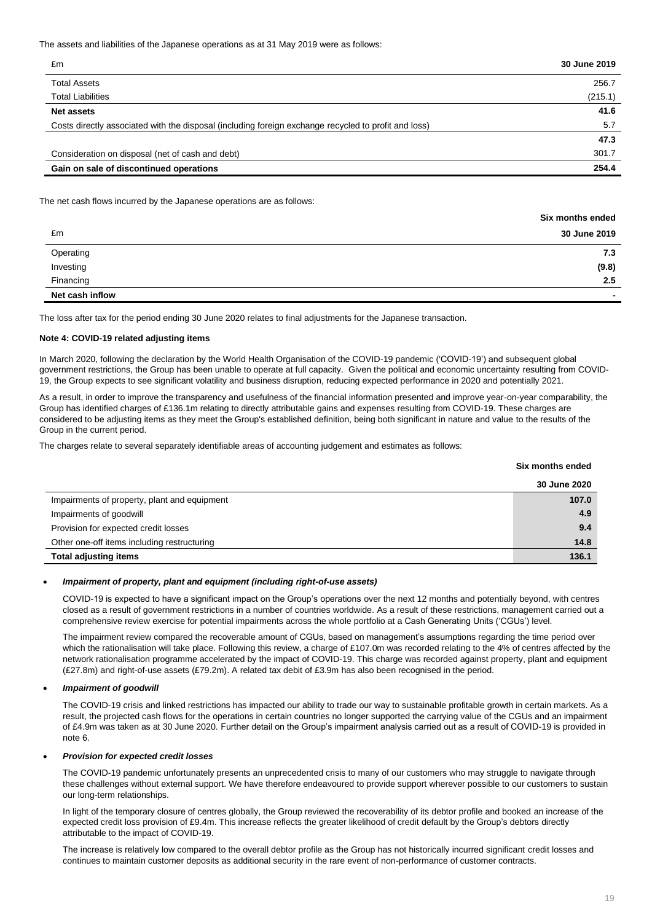The assets and liabilities of the Japanese operations as at 31 May 2019 were as follows:

| £m                                                                                                   | 30 June 2019 |
|------------------------------------------------------------------------------------------------------|--------------|
| <b>Total Assets</b>                                                                                  | 256.7        |
| <b>Total Liabilities</b>                                                                             | (215.1)      |
| Net assets                                                                                           | 41.6         |
| Costs directly associated with the disposal (including foreign exchange recycled to profit and loss) | 5.7          |
|                                                                                                      | 47.3         |
| Consideration on disposal (net of cash and debt)                                                     | 301.7        |
| Gain on sale of discontinued operations                                                              | 254.4        |

#### The net cash flows incurred by the Japanese operations are as follows:

|                 | Six months ended |
|-----------------|------------------|
| £m              | 30 June 2019     |
| Operating       | 7.3              |
| Investing       | (9.8)            |
| Financing       | 2.5              |
| Net cash inflow | -                |

The loss after tax for the period ending 30 June 2020 relates to final adjustments for the Japanese transaction.

#### **Note 4: COVID-19 related adjusting items**

In March 2020, following the declaration by the World Health Organisation of the COVID-19 pandemic ('COVID-19') and subsequent global government restrictions, the Group has been unable to operate at full capacity. Given the political and economic uncertainty resulting from COVID-19, the Group expects to see significant volatility and business disruption, reducing expected performance in 2020 and potentially 2021.

As a result, in order to improve the transparency and usefulness of the financial information presented and improve year-on-year comparability, the Group has identified charges of £136.1m relating to directly attributable gains and expenses resulting from COVID-19. These charges are considered to be adjusting items as they meet the Group's established definition, being both significant in nature and value to the results of the Group in the current period.

The charges relate to several separately identifiable areas of accounting judgement and estimates as follows:

|                                              | Six months ended |
|----------------------------------------------|------------------|
|                                              | 30 June 2020     |
| Impairments of property, plant and equipment | 107.0            |
| Impairments of goodwill                      | 4.9              |
| Provision for expected credit losses         | 9.4              |
| Other one-off items including restructuring  | 14.8             |
| <b>Total adjusting items</b>                 | 136.1            |

#### • *Impairment of property, plant and equipment (including right-of-use assets)*

COVID-19 is expected to have a significant impact on the Group's operations over the next 12 months and potentially beyond, with centres closed as a result of government restrictions in a number of countries worldwide. As a result of these restrictions, management carried out a comprehensive review exercise for potential impairments across the whole portfolio at a Cash Generating Units ('CGUs') level.

The impairment review compared the recoverable amount of CGUs, based on management's assumptions regarding the time period over which the rationalisation will take place. Following this review, a charge of £107.0m was recorded relating to the 4% of centres affected by the network rationalisation programme accelerated by the impact of COVID-19. This charge was recorded against property, plant and equipment (£27.8m) and right-of-use assets (£79.2m). A related tax debit of £3.9m has also been recognised in the period.

#### • *Impairment of goodwill*

The COVID-19 crisis and linked restrictions has impacted our ability to trade our way to sustainable profitable growth in certain markets. As a result, the projected cash flows for the operations in certain countries no longer supported the carrying value of the CGUs and an impairment of £4.9m was taken as at 30 June 2020. Further detail on the Group's impairment analysis carried out as a result of COVID-19 is provided in note 6.

#### • *Provision for expected credit losses*

The COVID-19 pandemic unfortunately presents an unprecedented crisis to many of our customers who may struggle to navigate through these challenges without external support. We have therefore endeavoured to provide support wherever possible to our customers to sustain our long-term relationships.

In light of the temporary closure of centres globally, the Group reviewed the recoverability of its debtor profile and booked an increase of the expected credit loss provision of £9.4m. This increase reflects the greater likelihood of credit default by the Group's debtors directly attributable to the impact of COVID-19.

The increase is relatively low compared to the overall debtor profile as the Group has not historically incurred significant credit losses and continues to maintain customer deposits as additional security in the rare event of non-performance of customer contracts.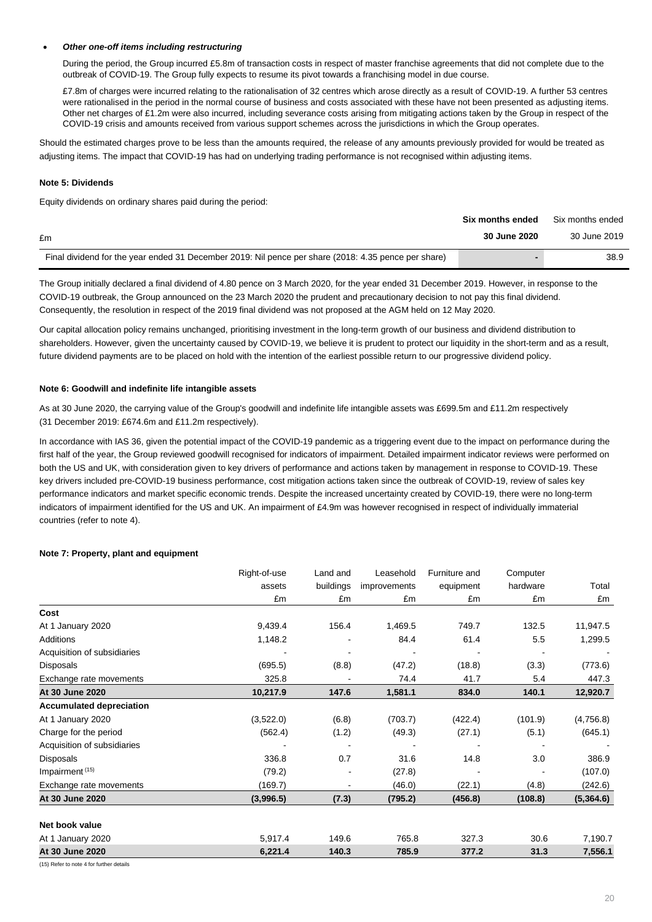### • *Other one-off items including restructuring*

During the period, the Group incurred £5.8m of transaction costs in respect of master franchise agreements that did not complete due to the outbreak of COVID-19. The Group fully expects to resume its pivot towards a franchising model in due course.

£7.8m of charges were incurred relating to the rationalisation of 32 centres which arose directly as a result of COVID-19. A further 53 centres were rationalised in the period in the normal course of business and costs associated with these have not been presented as adjusting items. Other net charges of £1.2m were also incurred, including severance costs arising from mitigating actions taken by the Group in respect of the COVID-19 crisis and amounts received from various support schemes across the jurisdictions in which the Group operates.

Should the estimated charges prove to be less than the amounts required, the release of any amounts previously provided for would be treated as adjusting items. The impact that COVID-19 has had on underlying trading performance is not recognised within adjusting items.

### **Note 5: Dividends**

Equity dividends on ordinary shares paid during the period:

|                                                                                                      | Six months ended | Six months ended |
|------------------------------------------------------------------------------------------------------|------------------|------------------|
| £m                                                                                                   | 30 June 2020     | 30 June 2019     |
| Final dividend for the year ended 31 December 2019: Nil pence per share (2018: 4.35 pence per share) |                  | 38.9             |

The Group initially declared a final dividend of 4.80 pence on 3 March 2020, for the year ended 31 December 2019. However, in response to the COVID-19 outbreak, the Group announced on the 23 March 2020 the prudent and precautionary decision to not pay this final dividend. Consequently, the resolution in respect of the 2019 final dividend was not proposed at the AGM held on 12 May 2020.

Our capital allocation policy remains unchanged, prioritising investment in the long-term growth of our business and dividend distribution to shareholders. However, given the uncertainty caused by COVID-19, we believe it is prudent to protect our liquidity in the short-term and as a result, future dividend payments are to be placed on hold with the intention of the earliest possible return to our progressive dividend policy.

#### **Note 6: Goodwill and indefinite life intangible assets**

As at 30 June 2020, the carrying value of the Group's goodwill and indefinite life intangible assets was £699.5m and £11.2m respectively (31 December 2019: £674.6m and £11.2m respectively).

In accordance with IAS 36, given the potential impact of the COVID-19 pandemic as a triggering event due to the impact on performance during the first half of the year, the Group reviewed goodwill recognised for indicators of impairment. Detailed impairment indicator reviews were performed on both the US and UK, with consideration given to key drivers of performance and actions taken by management in response to COVID-19. These key drivers included pre-COVID-19 business performance, cost mitigation actions taken since the outbreak of COVID-19, review of sales key performance indicators and market specific economic trends. Despite the increased uncertainty created by COVID-19, there were no long-term indicators of impairment identified for the US and UK. An impairment of £4.9m was however recognised in respect of individually immaterial countries (refer to note 4).

## **Note 7: Property, plant and equipment**

|                                 | Right-of-use | Land and  | Leasehold    | Furniture and | Computer |           |
|---------------------------------|--------------|-----------|--------------|---------------|----------|-----------|
|                                 | assets       | buildings | improvements | equipment     | hardware | Total     |
|                                 | £m           | £m        | £m           | £m            | £m       | £m        |
| Cost                            |              |           |              |               |          |           |
| At 1 January 2020               | 9,439.4      | 156.4     | 1,469.5      | 749.7         | 132.5    | 11,947.5  |
| Additions                       | 1,148.2      |           | 84.4         | 61.4          | 5.5      | 1,299.5   |
| Acquisition of subsidiaries     |              |           |              |               |          |           |
| <b>Disposals</b>                | (695.5)      | (8.8)     | (47.2)       | (18.8)        | (3.3)    | (773.6)   |
| Exchange rate movements         | 325.8        |           | 74.4         | 41.7          | 5.4      | 447.3     |
| At 30 June 2020                 | 10,217.9     | 147.6     | 1,581.1      | 834.0         | 140.1    | 12,920.7  |
| <b>Accumulated depreciation</b> |              |           |              |               |          |           |
| At 1 January 2020               | (3,522.0)    | (6.8)     | (703.7)      | (422.4)       | (101.9)  | (4,756.8) |
| Charge for the period           | (562.4)      | (1.2)     | (49.3)       | (27.1)        | (5.1)    | (645.1)   |
| Acquisition of subsidiaries     |              |           |              |               |          |           |
| Disposals                       | 336.8        | 0.7       | 31.6         | 14.8          | 3.0      | 386.9     |
| Impairment <sup>(15)</sup>      | (79.2)       |           | (27.8)       |               |          | (107.0)   |
| Exchange rate movements         | (169.7)      |           | (46.0)       | (22.1)        | (4.8)    | (242.6)   |
| At 30 June 2020                 | (3,996.5)    | (7.3)     | (795.2)      | (456.8)       | (108.8)  | (5,364.6) |
| Net book value                  |              |           |              |               |          |           |
| At 1 January 2020               | 5,917.4      | 149.6     | 765.8        | 327.3         | 30.6     | 7,190.7   |
| At 30 June 2020                 | 6,221.4      | 140.3     | 785.9        | 377.2         | 31.3     | 7,556.1   |

(15) Refer to note 4 for further details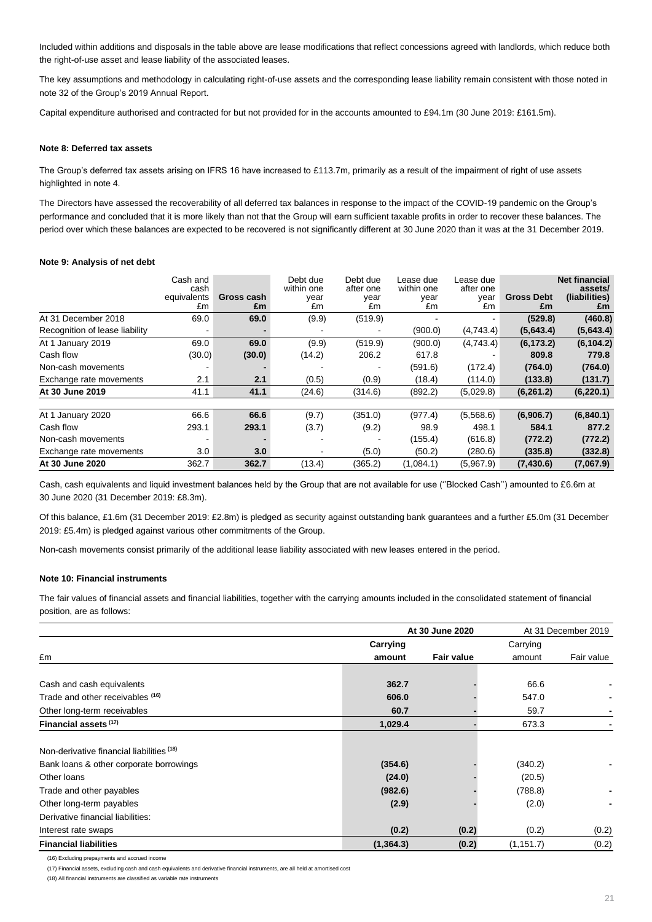Included within additions and disposals in the table above are lease modifications that reflect concessions agreed with landlords, which reduce both the right-of-use asset and lease liability of the associated leases.

The key assumptions and methodology in calculating right-of-use assets and the corresponding lease liability remain consistent with those noted in note 32 of the Group's 2019 Annual Report.

Capital expenditure authorised and contracted for but not provided for in the accounts amounted to £94.1m (30 June 2019: £161.5m).

#### **Note 8: Deferred tax assets**

The Group's deferred tax assets arising on IFRS 16 have increased to £113.7m, primarily as a result of the impairment of right of use assets highlighted in note 4.

The Directors have assessed the recoverability of all deferred tax balances in response to the impact of the COVID-19 pandemic on the Group's performance and concluded that it is more likely than not that the Group will earn sufficient taxable profits in order to recover these balances. The period over which these balances are expected to be recovered is not significantly different at 30 June 2020 than it was at the 31 December 2019.

#### **Note 9: Analysis of net debt**

|                                | Cash and<br>cash<br>equivalents<br>£m | Gross cash<br>£m | Debt due<br>within one<br>year<br>£m | Debt due<br>after one<br>year<br>£m | Lease due<br>within one<br>year<br>£m | Lease due<br>after one<br>year<br>£m | <b>Gross Debt</b><br>£m | <b>Net financial</b><br>assets/<br>(liabilities)<br>£m |
|--------------------------------|---------------------------------------|------------------|--------------------------------------|-------------------------------------|---------------------------------------|--------------------------------------|-------------------------|--------------------------------------------------------|
| At 31 December 2018            | 69.0                                  | 69.0             | (9.9)                                | (519.9)                             |                                       |                                      | (529.8)                 | (460.8)                                                |
| Recognition of lease liability |                                       |                  |                                      |                                     | (900.0)                               | (4,743.4)                            | (5,643.4)               | (5,643.4)                                              |
| At 1 January 2019              | 69.0                                  | 69.0             | (9.9)                                | (519.9)                             | (900.0)                               | (4,743.4)                            | (6, 173.2)              | (6, 104.2)                                             |
| Cash flow                      | (30.0)                                | (30.0)           | (14.2)                               | 206.2                               | 617.8                                 |                                      | 809.8                   | 779.8                                                  |
| Non-cash movements             |                                       |                  |                                      |                                     | (591.6)                               | (172.4)                              | (764.0)                 | (764.0)                                                |
| Exchange rate movements        | 2.1                                   | 2.1              | (0.5)                                | (0.9)                               | (18.4)                                | (114.0)                              | (133.8)                 | (131.7)                                                |
| At 30 June 2019                | 41.1                                  | 41.1             | (24.6)                               | (314.6)                             | (892.2)                               | (5,029.8)                            | (6,261.2)               | (6, 220.1)                                             |
| At 1 January 2020              | 66.6                                  | 66.6             | (9.7)                                | (351.0)                             | (977.4)                               | (5,568.6)                            | (6,906.7)               | (6,840.1)                                              |
| Cash flow                      | 293.1                                 | 293.1            | (3.7)                                | (9.2)                               | 98.9                                  | 498.1                                | 584.1                   | 877.2                                                  |
| Non-cash movements             |                                       |                  |                                      |                                     | (155.4)                               | (616.8)                              | (772.2)                 | (772.2)                                                |
| Exchange rate movements        | 3.0                                   | 3.0              |                                      | (5.0)                               | (50.2)                                | (280.6)                              | (335.8)                 | (332.8)                                                |
| At 30 June 2020                | 362.7                                 | 362.7            | (13.4)                               | (365.2)                             | (1,084.1)                             | (5,967.9)                            | (7,430.6)               | (7,067.9)                                              |

Cash, cash equivalents and liquid investment balances held by the Group that are not available for use (''Blocked Cash'') amounted to £6.6m at 30 June 2020 (31 December 2019: £8.3m).

Of this balance, £1.6m (31 December 2019: £2.8m) is pledged as security against outstanding bank guarantees and a further £5.0m (31 December 2019: £5.4m) is pledged against various other commitments of the Group.

Non-cash movements consist primarily of the additional lease liability associated with new leases entered in the period.

#### **Note 10: Financial instruments**

The fair values of financial assets and financial liabilities, together with the carrying amounts included in the consolidated statement of financial position, are as follows:

|                                           |            | At 30 June 2020   |            | At 31 December 2019 |
|-------------------------------------------|------------|-------------------|------------|---------------------|
|                                           | Carrying   |                   | Carrying   |                     |
| £m                                        | amount     | <b>Fair value</b> | amount     | Fair value          |
| Cash and cash equivalents                 | 362.7      |                   | 66.6       |                     |
| Trade and other receivables (16)          | 606.0      |                   | 547.0      |                     |
| Other long-term receivables               | 60.7       |                   | 59.7       |                     |
| Financial assets (17)                     | 1,029.4    |                   | 673.3      |                     |
| Non-derivative financial liabilities (18) |            |                   |            |                     |
| Bank loans & other corporate borrowings   | (354.6)    |                   | (340.2)    |                     |
| Other loans                               | (24.0)     |                   | (20.5)     |                     |
| Trade and other payables                  | (982.6)    |                   | (788.8)    | ٠                   |
| Other long-term payables                  | (2.9)      |                   | (2.0)      |                     |
| Derivative financial liabilities:         |            |                   |            |                     |
| Interest rate swaps                       | (0.2)      | (0.2)             | (0.2)      | (0.2)               |
| <b>Financial liabilities</b>              | (1, 364.3) | (0.2)             | (1, 151.7) | (0.2)               |

(16) Excluding prepayments and accrued income

(17) Financial assets, excluding cash and cash equivalents and derivative financial instruments, are all held at amortised cost

(18) All financial instruments are classified as variable rate instruments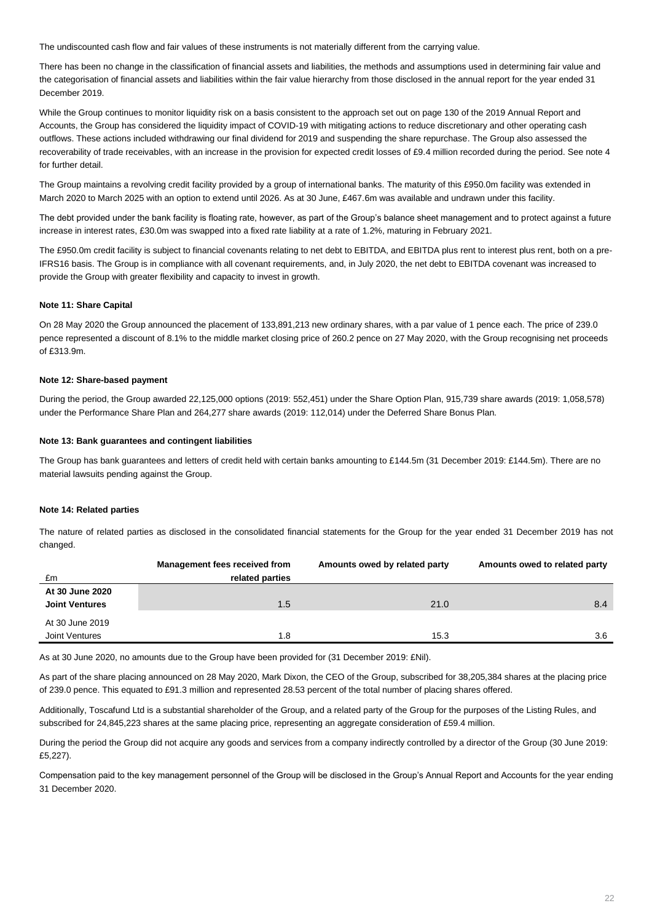The undiscounted cash flow and fair values of these instruments is not materially different from the carrying value.

There has been no change in the classification of financial assets and liabilities, the methods and assumptions used in determining fair value and the categorisation of financial assets and liabilities within the fair value hierarchy from those disclosed in the annual report for the year ended 31 December 2019.

While the Group continues to monitor liquidity risk on a basis consistent to the approach set out on page 130 of the 2019 Annual Report and Accounts, the Group has considered the liquidity impact of COVID-19 with mitigating actions to reduce discretionary and other operating cash outflows. These actions included withdrawing our final dividend for 2019 and suspending the share repurchase. The Group also assessed the recoverability of trade receivables, with an increase in the provision for expected credit losses of £9.4 million recorded during the period. See note 4 for further detail.

The Group maintains a revolving credit facility provided by a group of international banks. The maturity of this £950.0m facility was extended in March 2020 to March 2025 with an option to extend until 2026. As at 30 June, £467.6m was available and undrawn under this facility.

The debt provided under the bank facility is floating rate, however, as part of the Group's balance sheet management and to protect against a future increase in interest rates, £30.0m was swapped into a fixed rate liability at a rate of 1.2%, maturing in February 2021.

The £950.0m credit facility is subject to financial covenants relating to net debt to EBITDA, and EBITDA plus rent to interest plus rent, both on a pre-IFRS16 basis. The Group is in compliance with all covenant requirements, and, in July 2020, the net debt to EBITDA covenant was increased to provide the Group with greater flexibility and capacity to invest in growth.

#### **Note 11: Share Capital**

On 28 May 2020 the Group announced the placement of 133,891,213 new ordinary shares, with a par value of 1 pence each. The price of 239.0 pence represented a discount of 8.1% to the middle market closing price of 260.2 pence on 27 May 2020, with the Group recognising net proceeds of £313.9m.

#### **Note 12: Share-based payment**

During the period, the Group awarded 22,125,000 options (2019: 552,451) under the Share Option Plan, 915,739 share awards (2019: 1,058,578) under the Performance Share Plan and 264,277 share awards (2019: 112,014) under the Deferred Share Bonus Plan.

#### **Note 13: Bank guarantees and contingent liabilities**

The Group has bank guarantees and letters of credit held with certain banks amounting to £144.5m (31 December 2019: £144.5m). There are no material lawsuits pending against the Group.

#### **Note 14: Related parties**

The nature of related parties as disclosed in the consolidated financial statements for the Group for the year ended 31 December 2019 has not changed.

|                       | Management fees received from | Amounts owed by related party | Amounts owed to related party |
|-----------------------|-------------------------------|-------------------------------|-------------------------------|
| £m                    | related parties               |                               |                               |
| At 30 June 2020       |                               |                               |                               |
| <b>Joint Ventures</b> | 1.5                           | 21.0                          | 8.4                           |
| At 30 June 2019       |                               |                               |                               |
| Joint Ventures        | 1.8                           | 15.3                          | 3.6                           |

As at 30 June 2020, no amounts due to the Group have been provided for (31 December 2019: £Nil).

As part of the share placing announced on 28 May 2020, Mark Dixon, the CEO of the Group, subscribed for 38,205,384 shares at the placing price of 239.0 pence. This equated to £91.3 million and represented 28.53 percent of the total number of placing shares offered.

Additionally, Toscafund Ltd is a substantial shareholder of the Group, and a related party of the Group for the purposes of the Listing Rules, and subscribed for 24,845,223 shares at the same placing price, representing an aggregate consideration of £59.4 million.

During the period the Group did not acquire any goods and services from a company indirectly controlled by a director of the Group (30 June 2019: £5,227).

Compensation paid to the key management personnel of the Group will be disclosed in the Group's Annual Report and Accounts for the year ending 31 December 2020.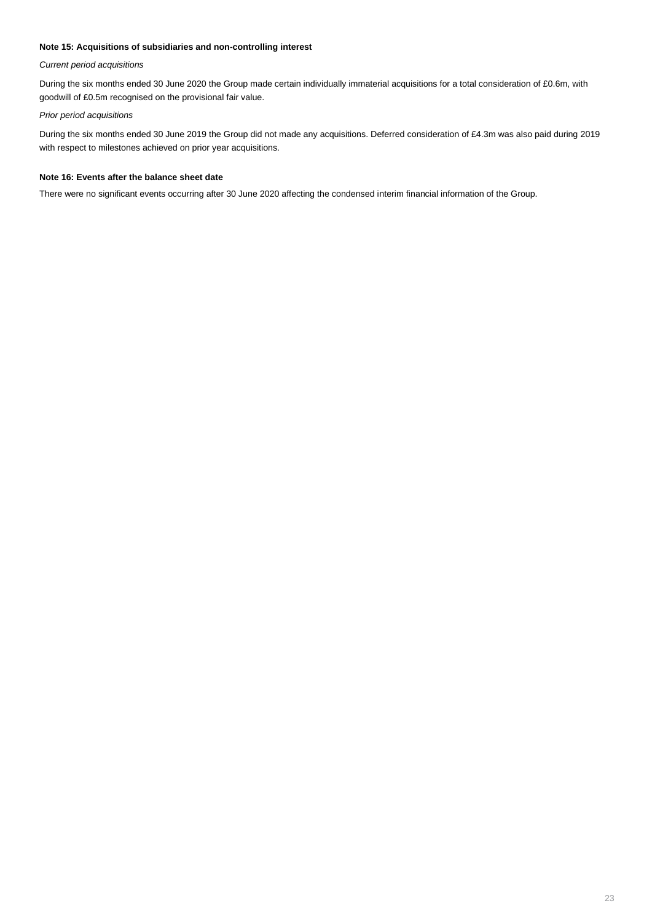## **Note 15: Acquisitions of subsidiaries and non-controlling interest**

## *Current period acquisitions*

During the six months ended 30 June 2020 the Group made certain individually immaterial acquisitions for a total consideration of £0.6m, with goodwill of £0.5m recognised on the provisional fair value.

## *Prior period acquisitions*

During the six months ended 30 June 2019 the Group did not made any acquisitions. Deferred consideration of £4.3m was also paid during 2019 with respect to milestones achieved on prior year acquisitions.

#### **Note 16: Events after the balance sheet date**

There were no significant events occurring after 30 June 2020 affecting the condensed interim financial information of the Group.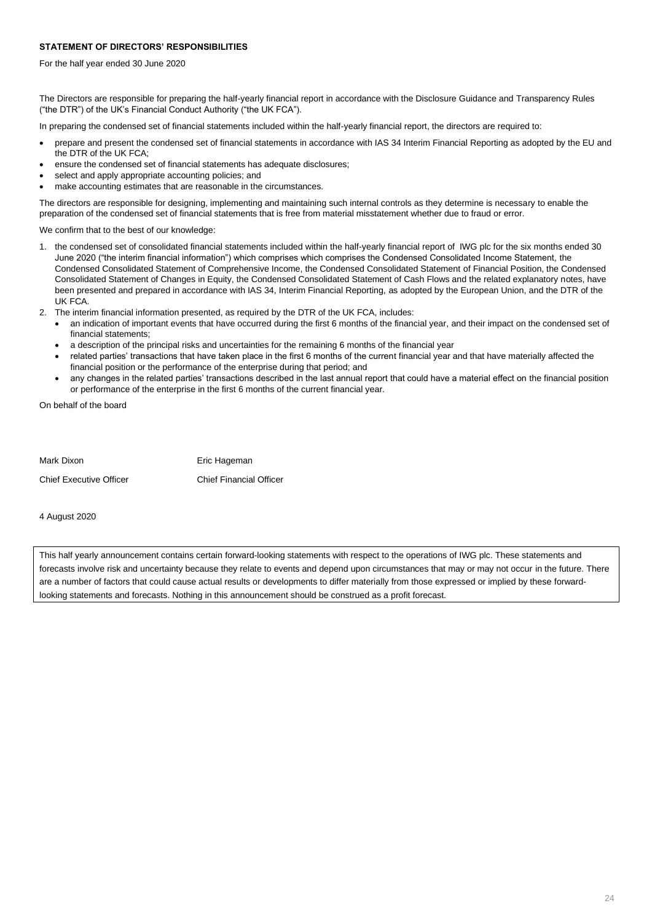## **STATEMENT OF DIRECTORS' RESPONSIBILITIES**

For the half year ended 30 June 2020

The Directors are responsible for preparing the half-yearly financial report in accordance with the Disclosure Guidance and Transparency Rules ("the DTR") of the UK's Financial Conduct Authority ("the UK FCA").

In preparing the condensed set of financial statements included within the half-yearly financial report, the directors are required to:

- prepare and present the condensed set of financial statements in accordance with IAS 34 Interim Financial Reporting as adopted by the EU and the DTR of the UK FCA;
- ensure the condensed set of financial statements has adequate disclosures;
- select and apply appropriate accounting policies; and
- make accounting estimates that are reasonable in the circumstances.

The directors are responsible for designing, implementing and maintaining such internal controls as they determine is necessary to enable the preparation of the condensed set of financial statements that is free from material misstatement whether due to fraud or error.

We confirm that to the best of our knowledge:

- 1. the condensed set of consolidated financial statements included within the half-yearly financial report of IWG plc for the six months ended 30 June 2020 ("the interim financial information") which comprises which comprises the Condensed Consolidated Income Statement, the Condensed Consolidated Statement of Comprehensive Income, the Condensed Consolidated Statement of Financial Position, the Condensed Consolidated Statement of Changes in Equity, the Condensed Consolidated Statement of Cash Flows and the related explanatory notes, have been presented and prepared in accordance with IAS 34, Interim Financial Reporting, as adopted by the European Union, and the DTR of the UK FCA.
- 2. The interim financial information presented, as required by the DTR of the UK FCA, includes:
	- an indication of important events that have occurred during the first 6 months of the financial year, and their impact on the condensed set of financial statements;
	- a description of the principal risks and uncertainties for the remaining 6 months of the financial year
	- related parties' transactions that have taken place in the first 6 months of the current financial year and that have materially affected the financial position or the performance of the enterprise during that period; and
	- any changes in the related parties' transactions described in the last annual report that could have a material effect on the financial position or performance of the enterprise in the first 6 months of the current financial year.

On behalf of the board

| Mark Dixon                     | Eric Hageman                   |
|--------------------------------|--------------------------------|
| <b>Chief Executive Officer</b> | <b>Chief Financial Officer</b> |

4 August 2020

This half yearly announcement contains certain forward-looking statements with respect to the operations of IWG plc. These statements and forecasts involve risk and uncertainty because they relate to events and depend upon circumstances that may or may not occur in the future. There are a number of factors that could cause actual results or developments to differ materially from those expressed or implied by these forwardlooking statements and forecasts. Nothing in this announcement should be construed as a profit forecast.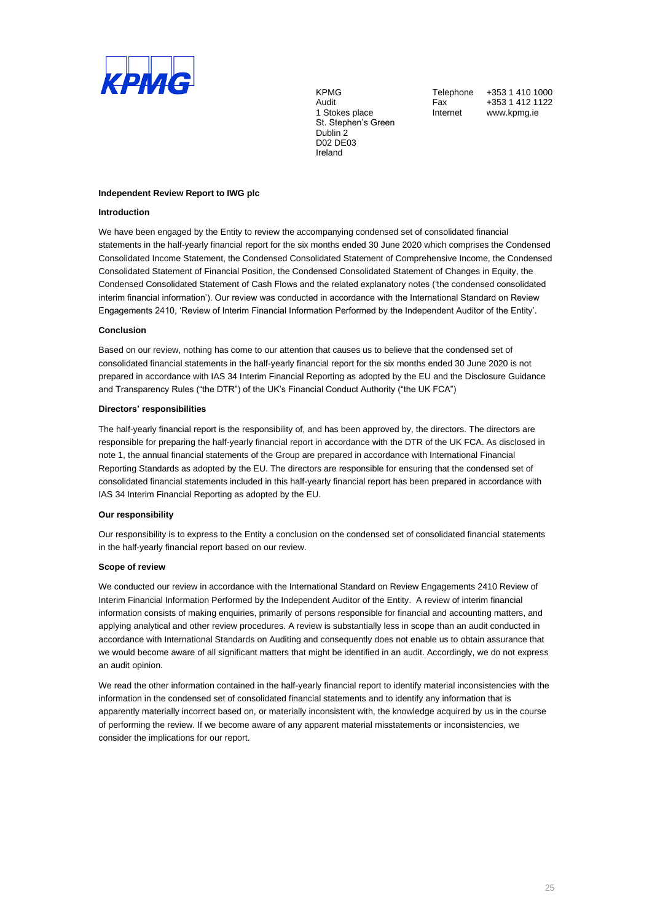

1 Stokes place **Internet** www.kpmg.ie St. Stephen's Green Dublin 2 D02 DE03 Ireland

KPMG Telephone +353 1 410 1000 Audit **Fax +353 1 412 1122** 

#### **Independent Review Report to IWG plc**

#### **Introduction**

We have been engaged by the Entity to review the accompanying condensed set of consolidated financial statements in the half-yearly financial report for the six months ended 30 June 2020 which comprises the Condensed Consolidated Income Statement, the Condensed Consolidated Statement of Comprehensive Income, the Condensed Consolidated Statement of Financial Position, the Condensed Consolidated Statement of Changes in Equity, the Condensed Consolidated Statement of Cash Flows and the related explanatory notes ('the condensed consolidated interim financial information'). Our review was conducted in accordance with the International Standard on Review Engagements 2410, 'Review of Interim Financial Information Performed by the Independent Auditor of the Entity'.

#### **Conclusion**

Based on our review, nothing has come to our attention that causes us to believe that the condensed set of consolidated financial statements in the half-yearly financial report for the six months ended 30 June 2020 is not prepared in accordance with IAS 34 Interim Financial Reporting as adopted by the EU and the Disclosure Guidance and Transparency Rules ("the DTR") of the UK's Financial Conduct Authority ("the UK FCA")

#### **Directors' responsibilities**

The half-yearly financial report is the responsibility of, and has been approved by, the directors. The directors are responsible for preparing the half-yearly financial report in accordance with the DTR of the UK FCA. As disclosed in note 1, the annual financial statements of the Group are prepared in accordance with International Financial Reporting Standards as adopted by the EU. The directors are responsible for ensuring that the condensed set of consolidated financial statements included in this half-yearly financial report has been prepared in accordance with IAS 34 Interim Financial Reporting as adopted by the EU.

#### **Our responsibility**

Our responsibility is to express to the Entity a conclusion on the condensed set of consolidated financial statements in the half-yearly financial report based on our review.

#### **Scope of review**

We conducted our review in accordance with the International Standard on Review Engagements 2410 Review of Interim Financial Information Performed by the Independent Auditor of the Entity. A review of interim financial information consists of making enquiries, primarily of persons responsible for financial and accounting matters, and applying analytical and other review procedures. A review is substantially less in scope than an audit conducted in accordance with International Standards on Auditing and consequently does not enable us to obtain assurance that we would become aware of all significant matters that might be identified in an audit. Accordingly, we do not express an audit opinion.

We read the other information contained in the half-yearly financial report to identify material inconsistencies with the information in the condensed set of consolidated financial statements and to identify any information that is apparently materially incorrect based on, or materially inconsistent with, the knowledge acquired by us in the course of performing the review. If we become aware of any apparent material misstatements or inconsistencies, we consider the implications for our report.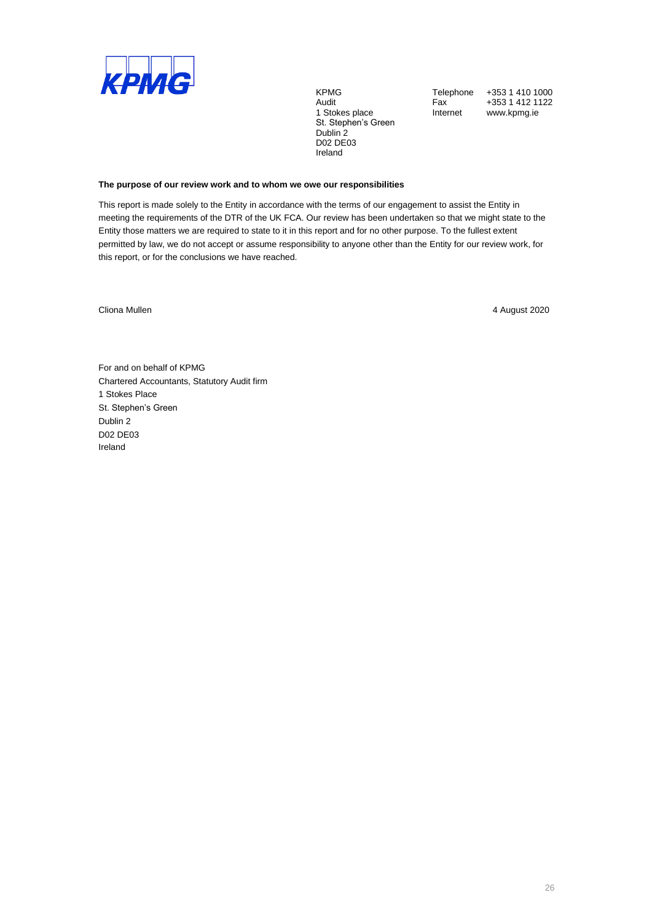

1 Stokes place **Internet** www.kpmg.ie St. Stephen's Green Dublin 2 D02 DE03 Ireland

KPMG Telephone +353 1 410 1000<br>Audit Fax +353 1 412 1122 Fax +353 1 412 1122<br>Internet www.kpmg.ie

## **The purpose of our review work and to whom we owe our responsibilities**

This report is made solely to the Entity in accordance with the terms of our engagement to assist the Entity in meeting the requirements of the DTR of the UK FCA. Our review has been undertaken so that we might state to the Entity those matters we are required to state to it in this report and for no other purpose. To the fullest extent permitted by law, we do not accept or assume responsibility to anyone other than the Entity for our review work, for this report, or for the conclusions we have reached.

Cliona Mullen 4 August 2020

For and on behalf of KPMG Chartered Accountants, Statutory Audit firm 1 Stokes Place St. Stephen's Green Dublin 2 D02 DE03 Ireland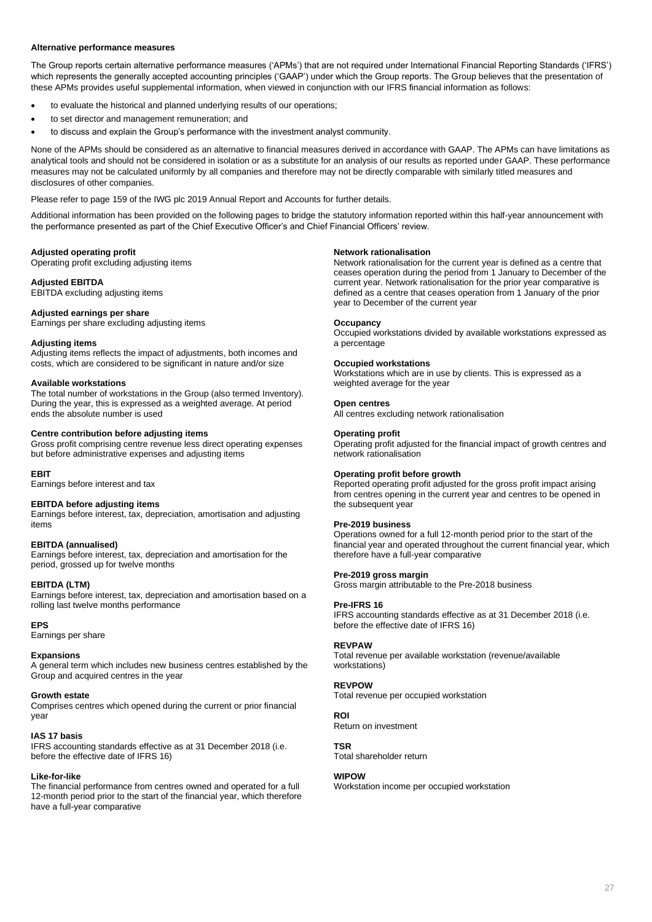#### **Alternative performance measures**

The Group reports certain alternative performance measures ('APMs') that are not required under International Financial Reporting Standards ('IFRS') which represents the generally accepted accounting principles ('GAAP') under which the Group reports. The Group believes that the presentation of these APMs provides useful supplemental information, when viewed in conjunction with our IFRS financial information as follows:

- to evaluate the historical and planned underlying results of our operations;
- to set director and management remuneration; and
- to discuss and explain the Group's performance with the investment analyst community.

None of the APMs should be considered as an alternative to financial measures derived in accordance with GAAP. The APMs can have limitations as analytical tools and should not be considered in isolation or as a substitute for an analysis of our results as reported under GAAP. These performance measures may not be calculated uniformly by all companies and therefore may not be directly comparable with similarly titled measures and disclosures of other companies.

Please refer to page 159 of the IWG plc 2019 Annual Report and Accounts for further details.

Additional information has been provided on the following pages to bridge the statutory information reported within this half-year announcement with the performance presented as part of the Chief Executive Officer's and Chief Financial Officers' review.

#### **Adjusted operating profit**

Operating profit excluding adjusting items

#### **Adjusted EBITDA**

EBITDA excluding adjusting items

#### **Adjusted earnings per share**

Earnings per share excluding adjusting items

#### **Adjusting items**

Adjusting items reflects the impact of adjustments, both incomes and costs, which are considered to be significant in nature and/or size

#### **Available workstations**

The total number of workstations in the Group (also termed Inventory). During the year, this is expressed as a weighted average. At period ends the absolute number is used

## **Centre contribution before adjusting items**

Gross profit comprising centre revenue less direct operating expenses but before administrative expenses and adjusting items

#### **EBIT**

Earnings before interest and tax

#### **EBITDA before adjusting items**

Earnings before interest, tax, depreciation, amortisation and adjusting items

### **EBITDA (annualised)**

Earnings before interest, tax, depreciation and amortisation for the period, grossed up for twelve months

#### **EBITDA (LTM)**

Earnings before interest, tax, depreciation and amortisation based on a rolling last twelve months performance

#### **EPS**

Earnings per share

#### **Expansions**

A general term which includes new business centres established by the Group and acquired centres in the year

#### **Growth estate**

Comprises centres which opened during the current or prior financial year

#### **IAS 17 basis**

IFRS accounting standards effective as at 31 December 2018 (i.e. before the effective date of IFRS 16)

#### **Like-for-like**

The financial performance from centres owned and operated for a full 12-month period prior to the start of the financial year, which therefore have a full-year comparative

#### **Network rationalisation**

Network rationalisation for the current year is defined as a centre that ceases operation during the period from 1 January to December of the current year. Network rationalisation for the prior year comparative is defined as a centre that ceases operation from 1 January of the prior year to December of the current year

#### **Occupancy**

Occupied workstations divided by available workstations expressed as a percentage

#### **Occupied workstations**

Workstations which are in use by clients. This is expressed as a weighted average for the year

#### **Open centres**

All centres excluding network rationalisation

#### **Operating profit**

Operating profit adjusted for the financial impact of growth centres and network rationalisation

### **Operating profit before growth**

Reported operating profit adjusted for the gross profit impact arising from centres opening in the current year and centres to be opened in the subsequent year

#### **Pre-2019 business**

Operations owned for a full 12-month period prior to the start of the financial year and operated throughout the current financial year, which therefore have a full-year comparative

#### **Pre-2019 gross margin**

Gross margin attributable to the Pre-2018 business

#### **Pre-IFRS 16**

IFRS accounting standards effective as at 31 December 2018 (i.e. before the effective date of IFRS 16)

#### **REVPAW**

Total revenue per available workstation (revenue/available workstations)

#### **REVPOW**

Total revenue per occupied workstation

#### **ROI**

Return on investment

#### **TSR**

Total shareholder return

#### **WIPOW**

Workstation income per occupied workstation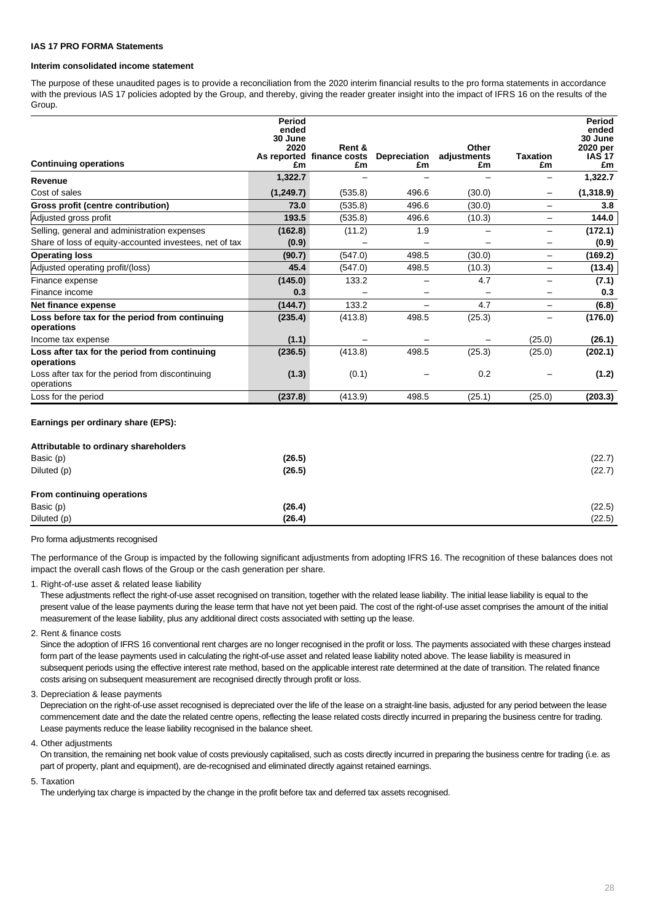#### **IAS 17 PRO FORMA Statements**

## **Interim consolidated income statement**

The purpose of these unaudited pages is to provide a reconciliation from the 2020 interim financial results to the pro forma statements in accordance with the previous IAS 17 policies adopted by the Group, and thereby, giving the reader greater insight into the impact of IFRS 16 on the results of the Group.

| <b>Continuing operations</b>                                   | Period<br>ended<br>30 June<br>2020<br>£m | Rent &<br>As reported finance costs<br>£m | Depreciation<br>£m | Other<br>adjustments<br>£m | <b>Taxation</b><br>£m | Period<br>ended<br>30 June<br>2020 per<br><b>IAS 17</b><br>£m |
|----------------------------------------------------------------|------------------------------------------|-------------------------------------------|--------------------|----------------------------|-----------------------|---------------------------------------------------------------|
| Revenue                                                        | 1,322.7                                  |                                           |                    |                            |                       | 1,322.7                                                       |
| Cost of sales                                                  | (1, 249.7)                               | (535.8)                                   | 496.6              | (30.0)                     | $\qquad \qquad$       | (1,318.9)                                                     |
| Gross profit (centre contribution)                             | 73.0                                     | (535.8)                                   | 496.6              | (30.0)                     | —                     | 3.8                                                           |
| Adjusted gross profit                                          | 193.5                                    | (535.8)                                   | 496.6              | (10.3)                     | —                     | 144.0                                                         |
| Selling, general and administration expenses                   | (162.8)                                  | (11.2)                                    | 1.9                |                            |                       | (172.1)                                                       |
| Share of loss of equity-accounted investees, net of tax        | (0.9)                                    |                                           |                    |                            | —                     | (0.9)                                                         |
| <b>Operating loss</b>                                          | (90.7)                                   | (547.0)                                   | 498.5              | (30.0)                     | $\qquad \qquad -$     | (169.2)                                                       |
| Adjusted operating profit/(loss)                               | 45.4                                     | (547.0)                                   | 498.5              | (10.3)                     | —                     | (13.4)                                                        |
| Finance expense                                                | (145.0)                                  | 133.2                                     |                    | 4.7                        |                       | (7.1)                                                         |
| Finance income                                                 | 0.3                                      |                                           |                    |                            |                       | 0.3                                                           |
| Net finance expense                                            | (144.7)                                  | 133.2                                     |                    | 4.7                        | —                     | (6.8)                                                         |
| Loss before tax for the period from continuing<br>operations   | (235.4)                                  | (413.8)                                   | 498.5              | (25.3)                     |                       | (176.0)                                                       |
| Income tax expense                                             | (1.1)                                    |                                           |                    |                            | (25.0)                | (26.1)                                                        |
| Loss after tax for the period from continuing<br>operations    | (236.5)                                  | (413.8)                                   | 498.5              | (25.3)                     | (25.0)                | (202.1)                                                       |
| Loss after tax for the period from discontinuing<br>operations | (1.3)                                    | (0.1)                                     |                    | 0.2                        |                       | (1.2)                                                         |
| Loss for the period                                            | (237.8)                                  | (413.9)                                   | 498.5              | (25.1)                     | (25.0)                | (203.3)                                                       |

#### **Earnings per ordinary share (EPS):**

| Attributable to ordinary shareholders |        |        |
|---------------------------------------|--------|--------|
| Basic (p)                             | (26.5) | (22.7) |
| Diluted (p)                           | (26.5) | (22.7) |
|                                       |        |        |
| From continuing operations            |        |        |
| Basic (p)                             | (26.4) | (22.5) |
| Diluted (p)                           | (26.4) | (22.5) |
|                                       |        |        |

Pro forma adjustments recognised

The performance of the Group is impacted by the following significant adjustments from adopting IFRS 16. The recognition of these balances does not impact the overall cash flows of the Group or the cash generation per share.

1. Right-of-use asset & related lease liability

These adjustments reflect the right-of-use asset recognised on transition, together with the related lease liability. The initial lease liability is equal to the present value of the lease payments during the lease term that have not yet been paid. The cost of the right-of-use asset comprises the amount of the initial measurement of the lease liability, plus any additional direct costs associated with setting up the lease.

2. Rent & finance costs

Since the adoption of IFRS 16 conventional rent charges are no longer recognised in the profit or loss. The payments associated with these charges instead form part of the lease payments used in calculating the right-of-use asset and related lease liability noted above. The lease liability is measured in subsequent periods using the effective interest rate method, based on the applicable interest rate determined at the date of transition. The related finance costs arising on subsequent measurement are recognised directly through profit or loss.

3. Depreciation & lease payments

Depreciation on the right-of-use asset recognised is depreciated over the life of the lease on a straight-line basis, adjusted for any period between the lease commencement date and the date the related centre opens, reflecting the lease related costs directly incurred in preparing the business centre for trading. Lease payments reduce the lease liability recognised in the balance sheet.

4. Other adjustments

On transition, the remaining net book value of costs previously capitalised, such as costs directly incurred in preparing the business centre for trading (i.e. as part of property, plant and equipment), are de-recognised and eliminated directly against retained earnings.

5. Taxation

The underlying tax charge is impacted by the change in the profit before tax and deferred tax assets recognised.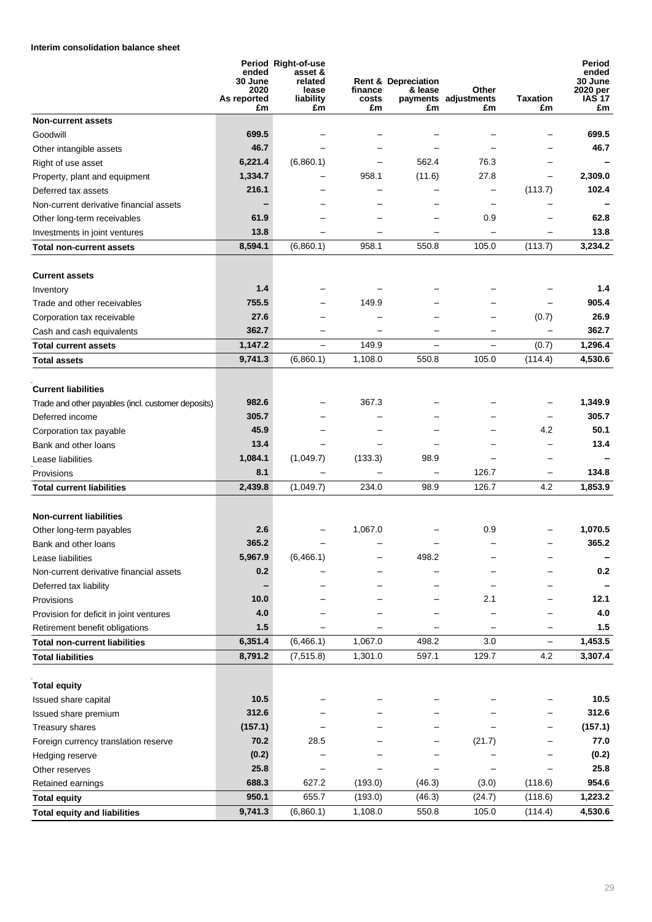# **Interim consolidation balance sheet**

|                                                    | ended<br>30 June<br>2020<br>As reported<br>£m | Period Right-of-use<br>asset &<br>related<br>lease<br>liability<br>£m | finance<br>costs<br>£m | <b>Rent &amp; Depreciation</b><br>& lease<br>£m | Other<br>payments adjustments<br>£m | <b>Taxation</b><br>£m    | Period<br>ended<br>30 June<br>2020 per<br>IAS 17<br>£m |
|----------------------------------------------------|-----------------------------------------------|-----------------------------------------------------------------------|------------------------|-------------------------------------------------|-------------------------------------|--------------------------|--------------------------------------------------------|
| <b>Non-current assets</b>                          |                                               |                                                                       |                        |                                                 |                                     |                          |                                                        |
| Goodwill                                           | 699.5                                         |                                                                       |                        |                                                 |                                     |                          | 699.5                                                  |
| Other intangible assets                            | 46.7                                          |                                                                       |                        |                                                 |                                     |                          | 46.7                                                   |
| Right of use asset                                 | 6,221.4                                       | (6,860.1)                                                             |                        | 562.4                                           | 76.3                                |                          |                                                        |
| Property, plant and equipment                      | 1,334.7                                       |                                                                       | 958.1                  | (11.6)                                          | 27.8                                | —                        | 2,309.0                                                |
| Deferred tax assets                                | 216.1                                         |                                                                       |                        |                                                 |                                     | (113.7)                  | 102.4                                                  |
| Non-current derivative financial assets            |                                               |                                                                       |                        |                                                 | $\qquad \qquad -$                   |                          |                                                        |
| Other long-term receivables                        | 61.9                                          |                                                                       |                        |                                                 | 0.9                                 |                          | 62.8                                                   |
| Investments in joint ventures                      | 13.8                                          |                                                                       |                        |                                                 | $\overline{\phantom{0}}$            |                          | 13.8                                                   |
| Total non-current assets                           | 8,594.1                                       | (6,860.1)                                                             | 958.1                  | 550.8                                           | 105.0                               | (113.7)                  | 3,234.2                                                |
| <b>Current assets</b>                              |                                               |                                                                       |                        |                                                 |                                     |                          |                                                        |
| Inventory                                          | 1.4                                           |                                                                       |                        |                                                 |                                     |                          | 1.4                                                    |
| Trade and other receivables                        | 755.5                                         |                                                                       | 149.9                  |                                                 |                                     | $\overline{\phantom{0}}$ | 905.4                                                  |
| Corporation tax receivable                         | 27.6                                          |                                                                       |                        |                                                 |                                     | (0.7)                    | 26.9                                                   |
| Cash and cash equivalents                          | 362.7                                         |                                                                       |                        |                                                 |                                     |                          | 362.7                                                  |
| <b>Total current assets</b>                        | 1,147.2                                       | $\overline{\phantom{0}}$                                              | 149.9                  |                                                 | —                                   | (0.7)                    | 1,296.4                                                |
| Total assets                                       | 9.741.3                                       | (6,860.1)                                                             | 1,108.0                | 550.8                                           | 105.0                               | (114.4)                  | 4,530.6                                                |
|                                                    |                                               |                                                                       |                        |                                                 |                                     |                          |                                                        |
| <b>Current liabilities</b>                         |                                               |                                                                       |                        |                                                 |                                     |                          |                                                        |
| Trade and other payables (incl. customer deposits) | 982.6                                         |                                                                       | 367.3                  |                                                 |                                     |                          | 1,349.9                                                |
| Deferred income                                    | 305.7                                         |                                                                       |                        |                                                 |                                     |                          | 305.7                                                  |
| Corporation tax payable                            | 45.9                                          |                                                                       |                        |                                                 |                                     | 4.2                      | 50.1                                                   |
| Bank and other loans                               | 13.4                                          |                                                                       |                        |                                                 |                                     |                          | 13.4                                                   |
| Lease liabilities                                  | 1,084.1                                       | (1,049.7)                                                             | (133.3)                | 98.9                                            |                                     |                          |                                                        |
| Provisions                                         | 8.1                                           |                                                                       |                        |                                                 | 126.7                               | -                        | 134.8                                                  |
| <b>Total current liabilities</b>                   | 2,439.8                                       | (1,049.7)                                                             | 234.0                  | 98.9                                            | 126.7                               | 4.2                      | 1,853.9                                                |
|                                                    |                                               |                                                                       |                        |                                                 |                                     |                          |                                                        |
| <b>Non-current liabilities</b>                     |                                               |                                                                       |                        |                                                 |                                     |                          |                                                        |
| Other long-term payables                           | 2.6                                           |                                                                       | 1,067.0                |                                                 | 0.9                                 |                          | 1,070.5                                                |
| Bank and other loans                               | 365.2                                         |                                                                       |                        |                                                 |                                     |                          | 365.2                                                  |
| Lease liabilities                                  | 5,967.9                                       | (6,466.1)                                                             |                        | 498.2                                           |                                     |                          |                                                        |
| Non-current derivative financial assets            | 0.2                                           |                                                                       |                        |                                                 |                                     |                          | 0.2                                                    |
| Deferred tax liability                             |                                               |                                                                       |                        |                                                 |                                     |                          |                                                        |
| Provisions                                         | 10.0                                          |                                                                       |                        |                                                 | 2.1                                 |                          | 12.1                                                   |
| Provision for deficit in joint ventures            | 4.0                                           |                                                                       |                        |                                                 |                                     |                          | 4.0                                                    |
| Retirement benefit obligations                     | $1.5$                                         |                                                                       |                        |                                                 |                                     | —                        | 1.5                                                    |
| <b>Total non-current liabilities</b>               | 6,351.4                                       | (6, 466.1)                                                            | 1,067.0                | 498.2                                           | 3.0                                 | $\qquad \qquad -$        | 1,453.5                                                |
| <b>Total liabilities</b>                           | 8,791.2                                       | (7, 515.8)                                                            | 1,301.0                | 597.1                                           | 129.7                               | 4.2                      | 3,307.4                                                |
|                                                    |                                               |                                                                       |                        |                                                 |                                     |                          |                                                        |
| <b>Total equity</b>                                |                                               |                                                                       |                        |                                                 |                                     |                          |                                                        |
| Issued share capital                               | 10.5                                          |                                                                       |                        |                                                 |                                     |                          | 10.5                                                   |
| Issued share premium                               | 312.6                                         |                                                                       |                        |                                                 |                                     |                          | 312.6                                                  |
| Treasury shares                                    | (157.1)                                       |                                                                       |                        |                                                 |                                     |                          | (157.1)                                                |
| Foreign currency translation reserve               | 70.2                                          | 28.5                                                                  |                        |                                                 | (21.7)                              |                          | 77.0                                                   |
| Hedging reserve                                    | (0.2)                                         |                                                                       |                        |                                                 |                                     |                          | (0.2)                                                  |
| Other reserves                                     | 25.8                                          |                                                                       |                        |                                                 |                                     |                          | 25.8                                                   |
| Retained earnings                                  | 688.3                                         | 627.2                                                                 | (193.0)                | (46.3)                                          | (3.0)                               | (118.6)                  | 954.6                                                  |
| <b>Total equity</b>                                | 950.1                                         | 655.7                                                                 | (193.0)                | (46.3)                                          | (24.7)                              | (118.6)                  | 1,223.2                                                |
| <b>Total equity and liabilities</b>                | 9,741.3                                       | (6,860.1)                                                             | 1,108.0                | 550.8                                           | 105.0                               | (114.4)                  | 4,530.6                                                |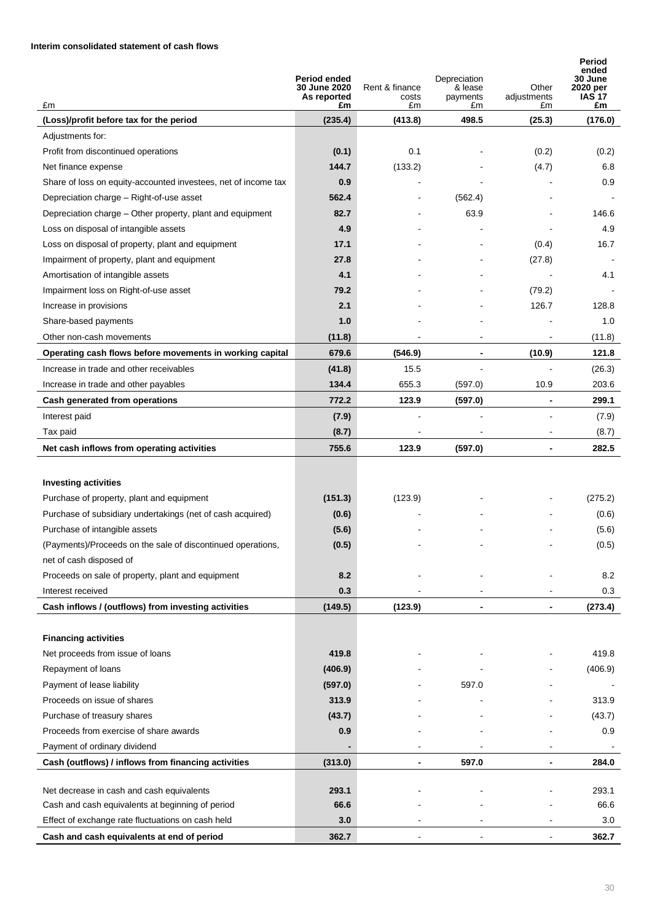## **Interim consolidated statement of cash flows**

| £m                                                             | Period ended<br><b>30 June 2020</b><br>As reported<br>£m | Rent & finance<br>costs<br>£m | Depreciation<br>& lease<br>payments<br>£m | Other<br>adjustments<br>£m | Period<br>ended<br>30 June<br>2020 per<br><b>IAS 17</b><br>£m |
|----------------------------------------------------------------|----------------------------------------------------------|-------------------------------|-------------------------------------------|----------------------------|---------------------------------------------------------------|
| (Loss)/profit before tax for the period                        | (235.4)                                                  | (413.8)                       | 498.5                                     | (25.3)                     | (176.0)                                                       |
| Adjustments for:                                               |                                                          |                               |                                           |                            |                                                               |
| Profit from discontinued operations                            | (0.1)                                                    | 0.1                           |                                           | (0.2)                      | (0.2)                                                         |
| Net finance expense                                            | 144.7                                                    | (133.2)                       |                                           | (4.7)                      | 6.8                                                           |
| Share of loss on equity-accounted investees, net of income tax | 0.9                                                      |                               |                                           |                            | 0.9                                                           |
| Depreciation charge - Right-of-use asset                       | 562.4                                                    |                               | (562.4)                                   |                            |                                                               |
| Depreciation charge – Other property, plant and equipment      | 82.7                                                     |                               | 63.9                                      |                            | 146.6                                                         |
| Loss on disposal of intangible assets                          | 4.9                                                      |                               |                                           |                            | 4.9                                                           |
| Loss on disposal of property, plant and equipment              | 17.1                                                     |                               |                                           | (0.4)                      | 16.7                                                          |
| Impairment of property, plant and equipment                    | 27.8                                                     |                               |                                           | (27.8)                     |                                                               |
| Amortisation of intangible assets                              | 4.1                                                      |                               |                                           |                            | 4.1                                                           |
| Impairment loss on Right-of-use asset                          | 79.2                                                     |                               |                                           | (79.2)                     |                                                               |
| Increase in provisions                                         | 2.1                                                      |                               |                                           | 126.7                      | 128.8                                                         |
| Share-based payments                                           | 1.0                                                      |                               |                                           |                            | 1.0                                                           |
| Other non-cash movements                                       | (11.8)                                                   | $\overline{\phantom{a}}$      | $\blacksquare$                            | $\overline{\phantom{a}}$   | (11.8)                                                        |
| Operating cash flows before movements in working capital       | 679.6                                                    | (546.9)                       | $\overline{\phantom{a}}$                  | (10.9)                     | 121.8                                                         |
| Increase in trade and other receivables                        | (41.8)                                                   | 15.5                          |                                           |                            | (26.3)                                                        |
| Increase in trade and other payables                           | 134.4                                                    | 655.3                         | (597.0)                                   | 10.9                       | 203.6                                                         |
| Cash generated from operations                                 | 772.2                                                    | 123.9                         | (597.0)                                   |                            | 299.1                                                         |
| Interest paid                                                  | (7.9)                                                    |                               |                                           |                            | (7.9)                                                         |
| Tax paid                                                       | (8.7)                                                    |                               |                                           | $\sim$                     | (8.7)                                                         |
| Net cash inflows from operating activities                     | 755.6                                                    | 123.9                         | (597.0)                                   | $\blacksquare$             | 282.5                                                         |
|                                                                |                                                          |                               |                                           |                            |                                                               |
| <b>Investing activities</b>                                    |                                                          |                               |                                           |                            |                                                               |
| Purchase of property, plant and equipment                      | (151.3)                                                  | (123.9)                       |                                           |                            | (275.2)                                                       |
| Purchase of subsidiary undertakings (net of cash acquired)     | (0.6)                                                    |                               |                                           |                            | (0.6)                                                         |
| Purchase of intangible assets                                  | (5.6)                                                    |                               |                                           |                            | (5.6)                                                         |
| (Payments)/Proceeds on the sale of discontinued operations,    | (0.5)                                                    |                               |                                           |                            | (0.5)                                                         |
| net of cash disposed of                                        |                                                          |                               |                                           |                            |                                                               |
| Proceeds on sale of property, plant and equipment              | 8.2                                                      |                               |                                           |                            | 8.2                                                           |
| Interest received                                              | 0.3                                                      |                               |                                           |                            | 0.3                                                           |
| Cash inflows / (outflows) from investing activities            | (149.5)                                                  | (123.9)                       |                                           |                            | (273.4)                                                       |
|                                                                |                                                          |                               |                                           |                            |                                                               |
| <b>Financing activities</b>                                    |                                                          |                               |                                           |                            |                                                               |
| Net proceeds from issue of loans                               | 419.8                                                    |                               |                                           |                            | 419.8                                                         |
| Repayment of loans                                             | (406.9)                                                  |                               |                                           |                            | (406.9)                                                       |
| Payment of lease liability                                     | (597.0)                                                  |                               | 597.0                                     |                            |                                                               |
| Proceeds on issue of shares                                    | 313.9                                                    |                               |                                           |                            | 313.9                                                         |
| Purchase of treasury shares                                    | (43.7)                                                   |                               |                                           |                            | (43.7)                                                        |
| Proceeds from exercise of share awards                         | 0.9                                                      |                               |                                           |                            | 0.9                                                           |
| Payment of ordinary dividend                                   |                                                          |                               |                                           |                            |                                                               |
| Cash (outflows) / inflows from financing activities            | (313.0)                                                  | -                             | 597.0                                     | $\blacksquare$             | 284.0                                                         |
| Net decrease in cash and cash equivalents                      | 293.1                                                    |                               |                                           |                            | 293.1                                                         |
| Cash and cash equivalents at beginning of period               | 66.6                                                     |                               |                                           |                            | 66.6                                                          |
| Effect of exchange rate fluctuations on cash held              | 3.0                                                      |                               |                                           |                            | 3.0                                                           |
| Cash and cash equivalents at end of period                     | 362.7                                                    |                               |                                           |                            | 362.7                                                         |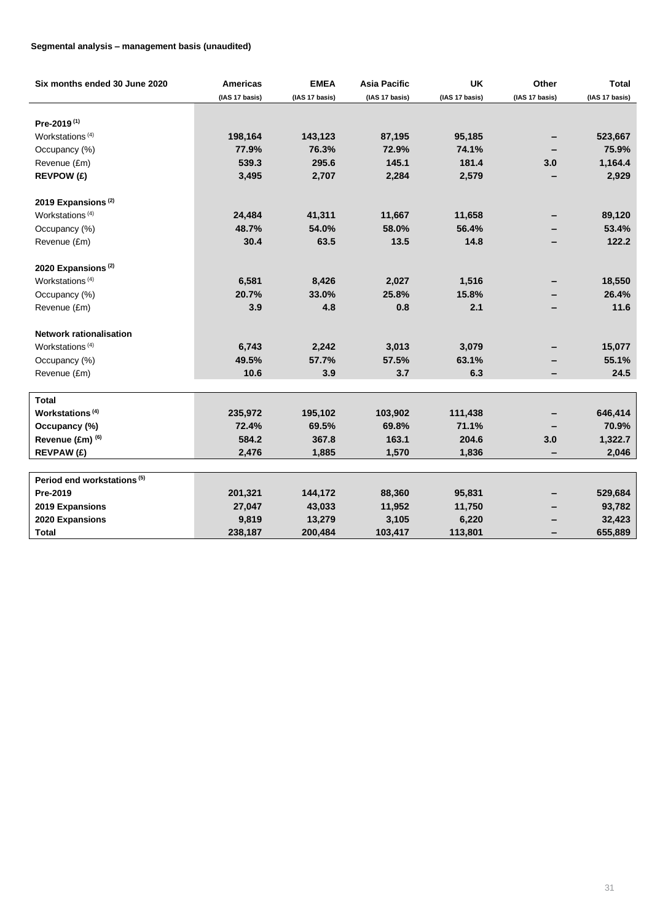## **Segmental analysis – management basis (unaudited)**

| Six months ended 30 June 2020          | <b>Americas</b> | <b>EMEA</b>    | <b>Asia Pacific</b> | <b>UK</b>      | Other          | <b>Total</b>   |
|----------------------------------------|-----------------|----------------|---------------------|----------------|----------------|----------------|
|                                        | (IAS 17 basis)  | (IAS 17 basis) | (IAS 17 basis)      | (IAS 17 basis) | (IAS 17 basis) | (IAS 17 basis) |
|                                        |                 |                |                     |                |                |                |
| Pre-2019 <sup>(1)</sup>                |                 |                |                     |                |                |                |
| Workstations <sup>(4)</sup>            | 198,164         | 143,123        | 87,195              | 95,185         |                | 523,667        |
| Occupancy (%)                          | 77.9%           | 76.3%          | 72.9%               | 74.1%          |                | 75.9%          |
| Revenue (£m)                           | 539.3           | 295.6          | 145.1               | 181.4          | 3.0            | 1,164.4        |
| <b>REVPOW (£)</b>                      | 3,495           | 2,707          | 2,284               | 2,579          |                | 2,929          |
| 2019 Expansions <sup>(2)</sup>         |                 |                |                     |                |                |                |
| Workstations <sup>(4)</sup>            | 24,484          | 41,311         | 11,667              | 11,658         |                | 89,120         |
| Occupancy (%)                          | 48.7%           | 54.0%          | 58.0%               | 56.4%          |                | 53.4%          |
| Revenue (£m)                           | 30.4            | 63.5           | 13.5                | 14.8           |                | 122.2          |
| 2020 Expansions <sup>(2)</sup>         |                 |                |                     |                |                |                |
| Workstations <sup>(4)</sup>            | 6,581           | 8,426          | 2,027               | 1,516          |                | 18,550         |
| Occupancy (%)                          | 20.7%           | 33.0%          | 25.8%               | 15.8%          |                | 26.4%          |
| Revenue (£m)                           | 3.9             | 4.8            | 0.8                 | 2.1            |                | 11.6           |
| <b>Network rationalisation</b>         |                 |                |                     |                |                |                |
| Workstations <sup>(4)</sup>            | 6,743           | 2,242          | 3,013               | 3,079          |                | 15,077         |
| Occupancy (%)                          | 49.5%           | 57.7%          | 57.5%               | 63.1%          |                | 55.1%          |
| Revenue (£m)                           | 10.6            | 3.9            | 3.7                 | 6.3            |                | 24.5           |
|                                        |                 |                |                     |                |                |                |
| <b>Total</b>                           |                 |                |                     |                |                |                |
| Workstations <sup>(4)</sup>            | 235,972         | 195,102        | 103,902             | 111,438        |                | 646,414        |
| Occupancy (%)                          | 72.4%           | 69.5%          | 69.8%               | 71.1%          |                | 70.9%          |
| Revenue (£m) (6)                       | 584.2           | 367.8          | 163.1               | 204.6          | 3.0            | 1,322.7        |
| <b>REVPAW (£)</b>                      | 2,476           | 1,885          | 1,570               | 1,836          |                | 2,046          |
|                                        |                 |                |                     |                |                |                |
| Period end workstations <sup>(5)</sup> |                 |                |                     |                |                |                |
| Pre-2019                               | 201,321         | 144,172        | 88,360              | 95,831         |                | 529,684        |
| 2019 Expansions                        | 27,047          | 43,033         | 11,952              | 11,750         |                | 93,782         |
| 2020 Expansions                        | 9,819           | 13,279         | 3,105               | 6,220          |                | 32,423         |
| <b>Total</b>                           | 238,187         | 200,484        | 103,417             | 113,801        | -              | 655,889        |